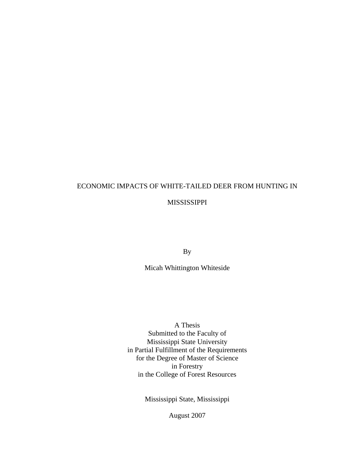# ECONOMIC IMPACTS OF WHITE-TAILED DEER FROM HUNTING IN

#### MISSISSIPPI

By

Micah Whittington Whiteside

A Thesis Submitted to the Faculty of Mississippi State University in Partial Fulfillment of the Requirements for the Degree of Master of Science in Forestry in the College of Forest Resources

Mississippi State, Mississippi

August 2007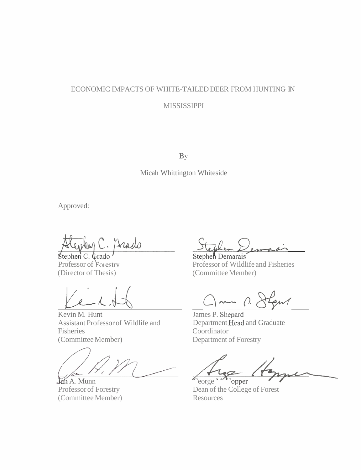## ECONOMIC IMPACTS OF WHITE-TAILED DEER FROM HUNTING IN MISSISSIPPI

BY

Micah Whittington Whiteside

Approved:

Drado

(Director of Thesis)

ephen C. Cirado<br>
ofessor of Forestry<br>
irector of Thesis) (Committee M<br>
Committee M<br>
Committee M<br>
Committee M<br>
Committee M<br>
James P. Sher

Kevin M. Hunt Assistant Professor of Wildlife and Fisheries Coordinator (Committee Member) Department of Forestry

 $\lim_{x \to 0} A$ . Munn

Professor of Forestry (Committee Member)

Professor of Forestry Professor of Wildlife and Fisheries (Committee Member)

Jun p. Jegns

James P. Shepard<br>Department Head and Graduate

opper

Dean of the College of Forest Resources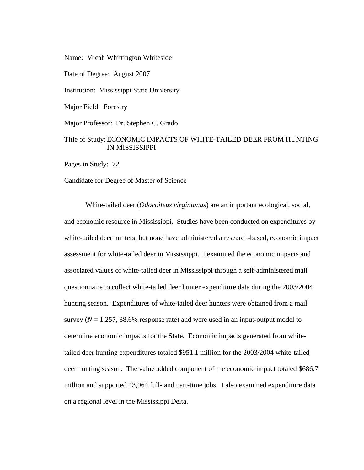Name: Micah Whittington Whiteside

Date of Degree: August 2007

Institution: Mississippi State University

Major Field: Forestry

Major Professor: Dr. Stephen C. Grado

#### Title of Study: ECONOMIC IMPACTS OF WHITE-TAILED DEER FROM HUNTING IN MISSISSIPPI

Pages in Study: 72

Candidate for Degree of Master of Science

White-tailed deer (*Odocoileus virginianus*) are an important ecological, social, and economic resource in Mississippi. Studies have been conducted on expenditures by white-tailed deer hunters, but none have administered a research-based, economic impact assessment for white-tailed deer in Mississippi. I examined the economic impacts and associated values of white-tailed deer in Mississippi through a self-administered mail questionnaire to collect white-tailed deer hunter expenditure data during the 2003/2004 hunting season. Expenditures of white-tailed deer hunters were obtained from a mail survey ( $N = 1,257,38.6\%$  response rate) and were used in an input-output model to determine economic impacts for the State. Economic impacts generated from whitetailed deer hunting expenditures totaled \$951.1 million for the 2003/2004 white-tailed deer hunting season. The value added component of the economic impact totaled \$686.7 million and supported 43,964 full- and part-time jobs. I also examined expenditure data on a regional level in the Mississippi Delta.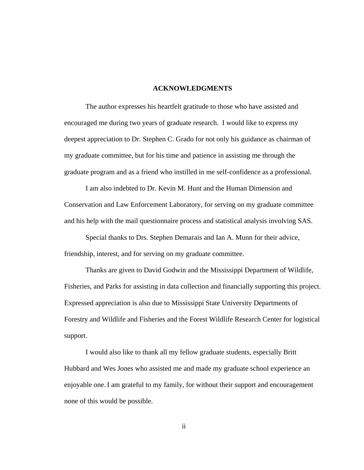#### **ACKNOWLEDGMENTS**

 The author expresses his heartfelt gratitude to those who have assisted and encouraged me during two years of graduate research. I would like to express my deepest appreciation to Dr. Stephen C. Grado for not only his guidance as chairman of my graduate committee, but for his time and patience in assisting me through the graduate program and as a friend who instilled in me self-confidence as a professional.

 I am also indebted to Dr. Kevin M. Hunt and the Human Dimension and Conservation and Law Enforcement Laboratory, for serving on my graduate committee and his help with the mail questionnaire process and statistical analysis involving SAS.

 Special thanks to Drs. Stephen Demarais and Ian A. Munn for their advice, friendship, interest, and for serving on my graduate committee.

 Thanks are given to David Godwin and the Mississippi Department of Wildlife, Fisheries, and Parks for assisting in data collection and financially supporting this project. Expressed appreciation is also due to Mississippi State University Departments of Forestry and Wildlife and Fisheries and the Forest Wildlife Research Center for logistical support.

 I would also like to thank all my fellow graduate students, especially Britt Hubbard and Wes Jones who assisted me and made my graduate school experience an enjoyable one. I am grateful to my family, for without their support and encouragement none of this would be possible.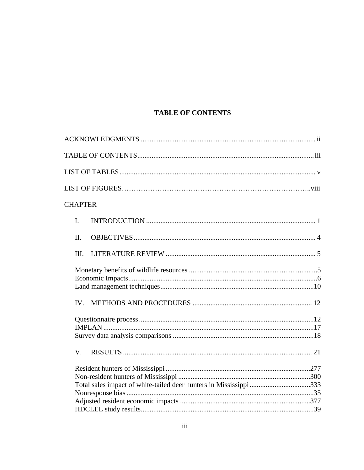### **TABLE OF CONTENTS**

| <b>CHAPTER</b> |  |
|----------------|--|
| $\mathbf{I}$ . |  |
| II.            |  |
| III.           |  |
|                |  |
|                |  |
|                |  |
| V.             |  |
|                |  |
|                |  |
|                |  |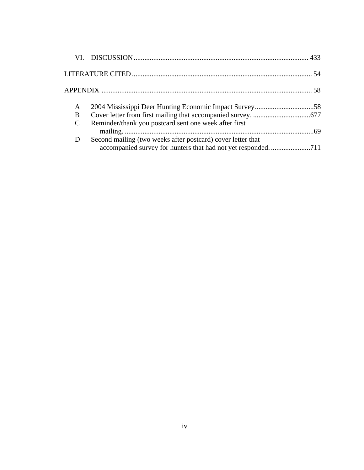| A                                                                      |
|------------------------------------------------------------------------|
| B                                                                      |
| Reminder/thank you postcard sent one week after first<br>$\mathcal{C}$ |
| Second mailing (two weeks after postcard) cover letter that            |
|                                                                        |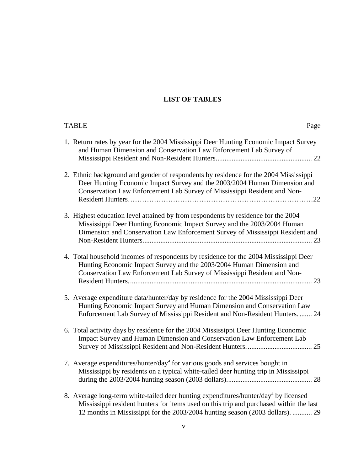### **LIST OF TABLES**

| <b>TABLE</b><br>Page                                                                                                                                                                                                                                                       |
|----------------------------------------------------------------------------------------------------------------------------------------------------------------------------------------------------------------------------------------------------------------------------|
| 1. Return rates by year for the 2004 Mississippi Deer Hunting Economic Impact Survey<br>and Human Dimension and Conservation Law Enforcement Lab Survey of                                                                                                                 |
| 2. Ethnic background and gender of respondents by residence for the 2004 Mississippi<br>Deer Hunting Economic Impact Survey and the 2003/2004 Human Dimension and<br>Conservation Law Enforcement Lab Survey of Mississippi Resident and Non-                              |
| 3. Highest education level attained by from respondents by residence for the 2004<br>Mississippi Deer Hunting Economic Impact Survey and the 2003/2004 Human<br>Dimension and Conservation Law Enforcement Survey of Mississippi Resident and                              |
| 4. Total household incomes of respondents by residence for the 2004 Mississippi Deer<br>Hunting Economic Impact Survey and the 2003/2004 Human Dimension and<br>Conservation Law Enforcement Lab Survey of Mississippi Resident and Non-                                   |
| 5. Average expenditure data/hunter/day by residence for the 2004 Mississippi Deer<br>Hunting Economic Impact Survey and Human Dimension and Conservation Law<br>Enforcement Lab Survey of Mississippi Resident and Non-Resident Hunters 24                                 |
| 6. Total activity days by residence for the 2004 Mississippi Deer Hunting Economic<br>Impact Survey and Human Dimension and Conservation Law Enforcement Lab                                                                                                               |
| 7. Average expenditures/hunter/day <sup>a</sup> for various goods and services bought in<br>Mississippi by residents on a typical white-tailed deer hunting trip in Mississippi                                                                                            |
| 8. Average long-term white-tailed deer hunting expenditures/hunter/day <sup>a</sup> by licensed<br>Mississippi resident hunters for items used on this trip and purchased within the last<br>12 months in Mississippi for the 2003/2004 hunting season (2003 dollars).  29 |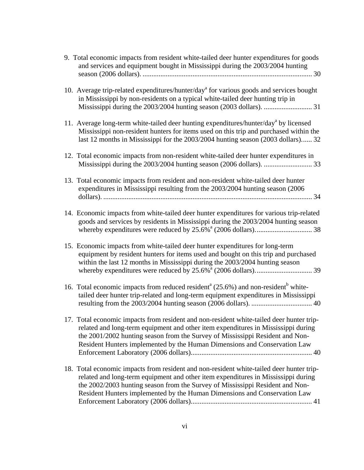| 9. Total economic impacts from resident white-tailed deer hunter expenditures for goods<br>and services and equipment bought in Mississippi during the 2003/2004 hunting                                                                                                                                                                    |
|---------------------------------------------------------------------------------------------------------------------------------------------------------------------------------------------------------------------------------------------------------------------------------------------------------------------------------------------|
| 10. Average trip-related expenditures/hunter/day <sup>a</sup> for various goods and services bought<br>in Mississippi by non-residents on a typical white-tailed deer hunting trip in                                                                                                                                                       |
| 11. Average long-term white-tailed deer hunting expenditures/hunter/day <sup>a</sup> by licensed<br>Mississippi non-resident hunters for items used on this trip and purchased within the<br>last 12 months in Mississippi for the 2003/2004 hunting season (2003 dollars) 32                                                               |
| 12. Total economic impacts from non-resident white-tailed deer hunter expenditures in                                                                                                                                                                                                                                                       |
| 13. Total economic impacts from resident and non-resident white-tailed deer hunter<br>expenditures in Mississippi resulting from the 2003/2004 hunting season (2006                                                                                                                                                                         |
| 14. Economic impacts from white-tailed deer hunter expenditures for various trip-related<br>goods and services by residents in Mississippi during the 2003/2004 hunting season                                                                                                                                                              |
| 15. Economic impacts from white-tailed deer hunter expenditures for long-term<br>equipment by resident hunters for items used and bought on this trip and purchased<br>within the last 12 months in Mississippi during the 2003/2004 hunting season                                                                                         |
| 16. Total economic impacts from reduced resident <sup>a</sup> (25.6%) and non-resident <sup>b</sup> white-<br>tailed deer hunter trip-related and long-term equipment expenditures in Mississippi                                                                                                                                           |
| 17. Total economic impacts from resident and non-resident white-tailed deer hunter trip-<br>related and long-term equipment and other item expenditures in Mississippi during<br>the 2001/2002 hunting season from the Survey of Mississippi Resident and Non-<br>Resident Hunters implemented by the Human Dimensions and Conservation Law |
| 18. Total economic impacts from resident and non-resident white-tailed deer hunter trip-<br>related and long-term equipment and other item expenditures in Mississippi during<br>the 2002/2003 hunting season from the Survey of Mississippi Resident and Non-<br>Resident Hunters implemented by the Human Dimensions and Conservation Law |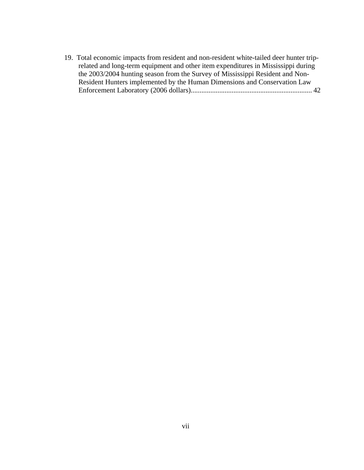19. Total economic impacts from resident and non-resident white-tailed deer hunter triprelated and long-term equipment and other item expenditures in Mississippi during the 2003/2004 hunting season from the Survey of Mississippi Resident and Non-Resident Hunters implemented by the Human Dimensions and Conservation Law Enforcement Laboratory (2006 dollars).................................................................... 42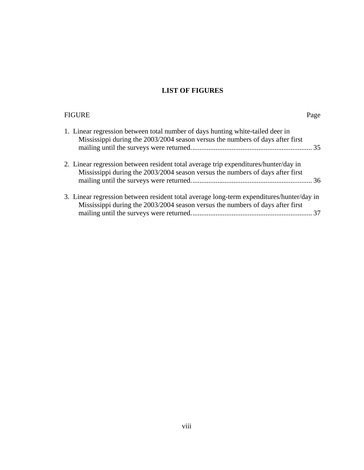### **LIST OF FIGURES**

| <b>FIGURE</b>                                                                                                                                                              | Page |
|----------------------------------------------------------------------------------------------------------------------------------------------------------------------------|------|
| 1. Linear regression between total number of days hunting white-tailed deer in<br>Mississippi during the 2003/2004 season versus the numbers of days after first           |      |
| 2. Linear regression between resident total average trip expenditures/hunter/day in<br>Mississippi during the 2003/2004 season versus the numbers of days after first      |      |
| 3. Linear regression between resident total average long-term expenditures/hunter/day in<br>Mississippi during the 2003/2004 season versus the numbers of days after first |      |
|                                                                                                                                                                            |      |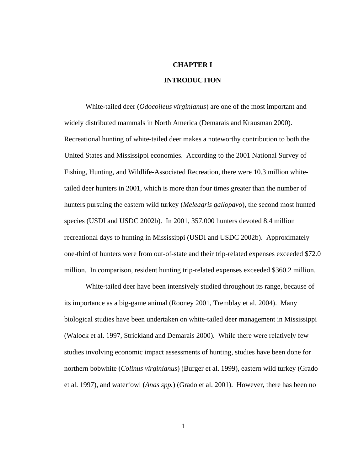## **CHAPTER I INTRODUCTION**

White-tailed deer (*Odocoileus virginianus*) are one of the most important and widely distributed mammals in North America (Demarais and Krausman 2000). Recreational hunting of white-tailed deer makes a noteworthy contribution to both the United States and Mississippi economies. According to the 2001 National Survey of Fishing, Hunting, and Wildlife-Associated Recreation, there were 10.3 million whitetailed deer hunters in 2001, which is more than four times greater than the number of hunters pursuing the eastern wild turkey (*Meleagris gallopavo*), the second most hunted species (USDI and USDC 2002b). In 2001, 357,000 hunters devoted 8.4 million recreational days to hunting in Mississippi (USDI and USDC 2002b). Approximately one-third of hunters were from out-of-state and their trip-related expenses exceeded \$72.0 million. In comparison, resident hunting trip-related expenses exceeded \$360.2 million.

White-tailed deer have been intensively studied throughout its range, because of its importance as a big-game animal (Rooney 2001, Tremblay et al. 2004). Many biological studies have been undertaken on white-tailed deer management in Mississippi (Walock et al. 1997, Strickland and Demarais 2000). While there were relatively few studies involving economic impact assessments of hunting, studies have been done for northern bobwhite (*Colinus virginianus*) (Burger et al. 1999), eastern wild turkey (Grado et al. 1997), and waterfowl (*Anas spp.*) (Grado et al. 2001). However, there has been no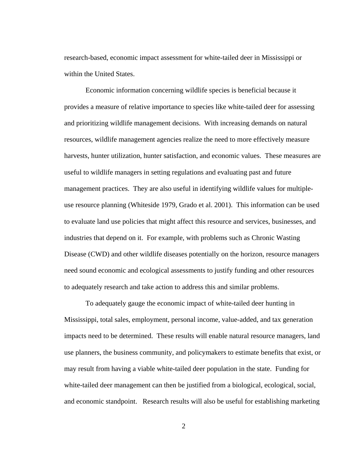research-based, economic impact assessment for white-tailed deer in Mississippi or within the United States.

Economic information concerning wildlife species is beneficial because it provides a measure of relative importance to species like white-tailed deer for assessing and prioritizing wildlife management decisions. With increasing demands on natural resources, wildlife management agencies realize the need to more effectively measure harvests, hunter utilization, hunter satisfaction, and economic values. These measures are useful to wildlife managers in setting regulations and evaluating past and future management practices. They are also useful in identifying wildlife values for multipleuse resource planning (Whiteside 1979, Grado et al. 2001). This information can be used to evaluate land use policies that might affect this resource and services, businesses, and industries that depend on it. For example, with problems such as Chronic Wasting Disease (CWD) and other wildlife diseases potentially on the horizon, resource managers need sound economic and ecological assessments to justify funding and other resources to adequately research and take action to address this and similar problems.

 To adequately gauge the economic impact of white-tailed deer hunting in Mississippi, total sales, employment, personal income, value-added, and tax generation impacts need to be determined. These results will enable natural resource managers, land use planners, the business community, and policymakers to estimate benefits that exist, or may result from having a viable white-tailed deer population in the state. Funding for white-tailed deer management can then be justified from a biological, ecological, social, and economic standpoint. Research results will also be useful for establishing marketing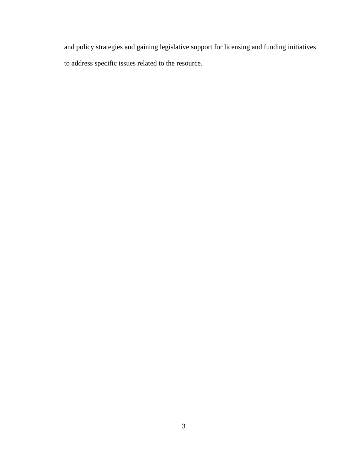and policy strategies and gaining legislative support for licensing and funding initiatives to address specific issues related to the resource.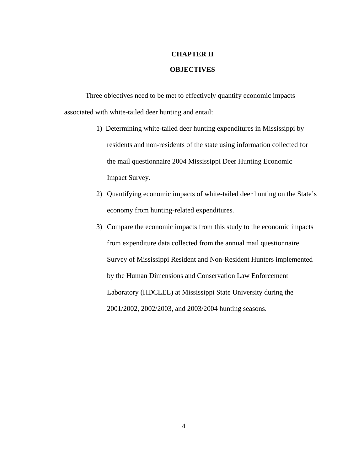## **CHAPTER II**

#### **OBJECTIVES**

Three objectives need to be met to effectively quantify economic impacts associated with white-tailed deer hunting and entail:

- 1) Determining white-tailed deer hunting expenditures in Mississippi by residents and non-residents of the state using information collected for the mail questionnaire 2004 Mississippi Deer Hunting Economic Impact Survey.
- 2) Quantifying economic impacts of white-tailed deer hunting on the State's economy from hunting-related expenditures.
- 3) Compare the economic impacts from this study to the economic impacts from expenditure data collected from the annual mail questionnaire Survey of Mississippi Resident and Non-Resident Hunters implemented by the Human Dimensions and Conservation Law Enforcement Laboratory (HDCLEL) at Mississippi State University during the 2001/2002, 2002/2003, and 2003/2004 hunting seasons.

4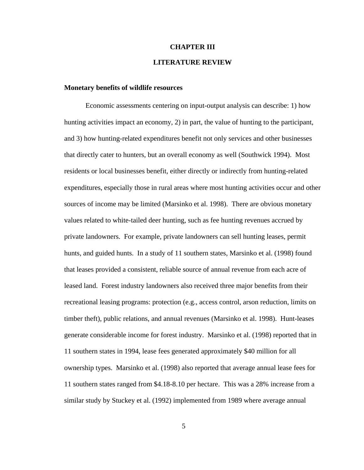### **CHAPTER III LITERATURE REVIEW**

#### **Monetary benefits of wildlife resources**

Economic assessments centering on input-output analysis can describe: 1) how hunting activities impact an economy, 2) in part, the value of hunting to the participant, and 3) how hunting-related expenditures benefit not only services and other businesses that directly cater to hunters, but an overall economy as well (Southwick 1994). Most residents or local businesses benefit, either directly or indirectly from hunting-related expenditures, especially those in rural areas where most hunting activities occur and other sources of income may be limited (Marsinko et al. 1998). There are obvious monetary values related to white-tailed deer hunting, such as fee hunting revenues accrued by private landowners. For example, private landowners can sell hunting leases, permit hunts, and guided hunts. In a study of 11 southern states, Marsinko et al. (1998) found that leases provided a consistent, reliable source of annual revenue from each acre of leased land. Forest industry landowners also received three major benefits from their recreational leasing programs: protection (e.g., access control, arson reduction, limits on timber theft), public relations, and annual revenues (Marsinko et al. 1998). Hunt-leases generate considerable income for forest industry. Marsinko et al. (1998) reported that in 11 southern states in 1994, lease fees generated approximately \$40 million for all ownership types. Marsinko et al. (1998) also reported that average annual lease fees for 11 southern states ranged from \$4.18-8.10 per hectare. This was a 28% increase from a similar study by Stuckey et al. (1992) implemented from 1989 where average annual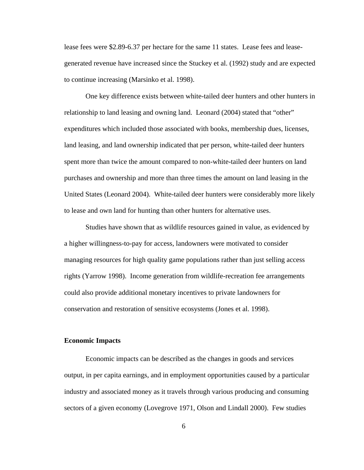lease fees were \$2.89-6.37 per hectare for the same 11 states. Lease fees and leasegenerated revenue have increased since the Stuckey et al. (1992) study and are expected to continue increasing (Marsinko et al. 1998).

One key difference exists between white-tailed deer hunters and other hunters in relationship to land leasing and owning land. Leonard (2004) stated that "other" expenditures which included those associated with books, membership dues, licenses, land leasing, and land ownership indicated that per person, white-tailed deer hunters spent more than twice the amount compared to non-white-tailed deer hunters on land purchases and ownership and more than three times the amount on land leasing in the United States (Leonard 2004). White-tailed deer hunters were considerably more likely to lease and own land for hunting than other hunters for alternative uses.

Studies have shown that as wildlife resources gained in value, as evidenced by a higher willingness-to-pay for access, landowners were motivated to consider managing resources for high quality game populations rather than just selling access rights (Yarrow 1998). Income generation from wildlife-recreation fee arrangements could also provide additional monetary incentives to private landowners for conservation and restoration of sensitive ecosystems (Jones et al. 1998).

#### **Economic Impacts**

Economic impacts can be described as the changes in goods and services output, in per capita earnings, and in employment opportunities caused by a particular industry and associated money as it travels through various producing and consuming sectors of a given economy (Lovegrove 1971, Olson and Lindall 2000). Few studies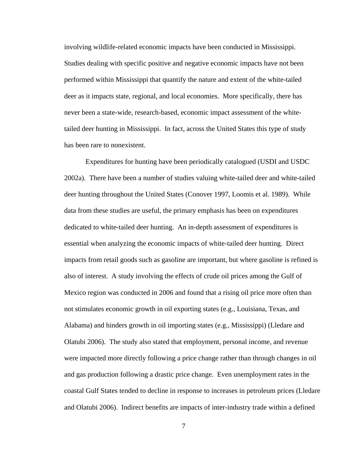involving wildlife-related economic impacts have been conducted in Mississippi. Studies dealing with specific positive and negative economic impacts have not been performed within Mississippi that quantify the nature and extent of the white-tailed deer as it impacts state, regional, and local economies. More specifically, there has never been a state-wide, research-based, economic impact assessment of the whitetailed deer hunting in Mississippi. In fact, across the United States this type of study has been rare to nonexistent.

 Expenditures for hunting have been periodically catalogued (USDI and USDC 2002a). There have been a number of studies valuing white-tailed deer and white-tailed deer hunting throughout the United States (Conover 1997, Loomis et al. 1989). While data from these studies are useful, the primary emphasis has been on expenditures dedicated to white-tailed deer hunting. An in-depth assessment of expenditures is essential when analyzing the economic impacts of white-tailed deer hunting. Direct impacts from retail goods such as gasoline are important, but where gasoline is refined is also of interest. A study involving the effects of crude oil prices among the Gulf of Mexico region was conducted in 2006 and found that a rising oil price more often than not stimulates economic growth in oil exporting states (e.g., Louisiana, Texas, and Alabama) and hinders growth in oil importing states (e.g., Mississippi) (Lledare and Olatubi 2006). The study also stated that employment, personal income, and revenue were impacted more directly following a price change rather than through changes in oil and gas production following a drastic price change. Even unemployment rates in the coastal Gulf States tended to decline in response to increases in petroleum prices (Lledare and Olatubi 2006). Indirect benefits are impacts of inter-industry trade within a defined

7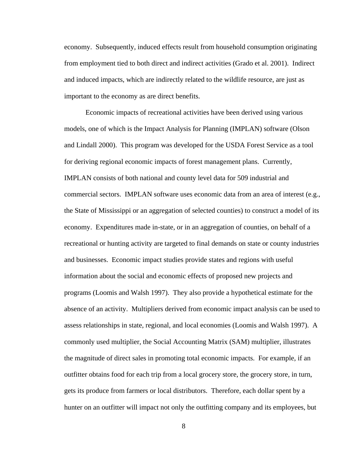economy. Subsequently, induced effects result from household consumption originating from employment tied to both direct and indirect activities (Grado et al. 2001). Indirect and induced impacts, which are indirectly related to the wildlife resource, are just as important to the economy as are direct benefits.

 Economic impacts of recreational activities have been derived using various models, one of which is the Impact Analysis for Planning (IMPLAN) software (Olson and Lindall 2000). This program was developed for the USDA Forest Service as a tool for deriving regional economic impacts of forest management plans. Currently, IMPLAN consists of both national and county level data for 509 industrial and commercial sectors. IMPLAN software uses economic data from an area of interest (e.g., the State of Mississippi or an aggregation of selected counties) to construct a model of its economy. Expenditures made in-state, or in an aggregation of counties, on behalf of a recreational or hunting activity are targeted to final demands on state or county industries and businesses. Economic impact studies provide states and regions with useful information about the social and economic effects of proposed new projects and programs (Loomis and Walsh 1997). They also provide a hypothetical estimate for the absence of an activity. Multipliers derived from economic impact analysis can be used to assess relationships in state, regional, and local economies (Loomis and Walsh 1997). A commonly used multiplier, the Social Accounting Matrix (SAM) multiplier, illustrates the magnitude of direct sales in promoting total economic impacts. For example, if an outfitter obtains food for each trip from a local grocery store, the grocery store, in turn, gets its produce from farmers or local distributors. Therefore, each dollar spent by a hunter on an outfitter will impact not only the outfitting company and its employees, but

8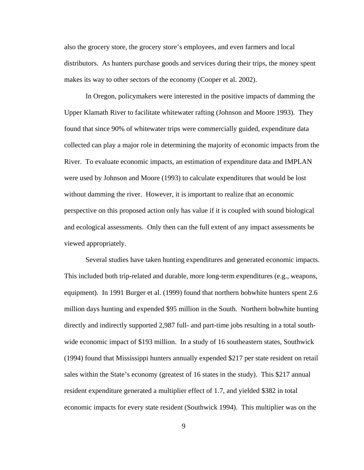also the grocery store, the grocery store's employees, and even farmers and local distributors. As hunters purchase goods and services during their trips, the money spent makes its way to other sectors of the economy (Cooper et al. 2002).

 In Oregon, policymakers were interested in the positive impacts of damming the Upper Klamath River to facilitate whitewater rafting (Johnson and Moore 1993). They found that since 90% of whitewater trips were commercially guided, expenditure data collected can play a major role in determining the majority of economic impacts from the River. To evaluate economic impacts, an estimation of expenditure data and IMPLAN were used by Johnson and Moore (1993) to calculate expenditures that would be lost without damming the river. However, it is important to realize that an economic perspective on this proposed action only has value if it is coupled with sound biological and ecological assessments. Only then can the full extent of any impact assessments be viewed appropriately.

 Several studies have taken hunting expenditures and generated economic impacts. This included both trip-related and durable, more long-term expenditures (e.g., weapons, equipment). In 1991 Burger et al. (1999) found that northern bobwhite hunters spent 2.6 million days hunting and expended \$95 million in the South. Northern bobwhite hunting directly and indirectly supported 2,987 full- and part-time jobs resulting in a total southwide economic impact of \$193 million. In a study of 16 southeastern states, Southwick (1994) found that Mississippi hunters annually expended \$217 per state resident on retail sales within the State's economy (greatest of 16 states in the study). This \$217 annual resident expenditure generated a multiplier effect of 1.7, and yielded \$382 in total economic impacts for every state resident (Southwick 1994). This multiplier was on the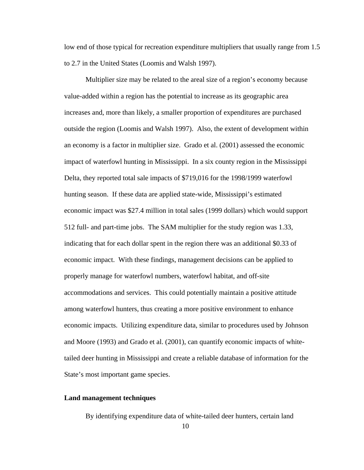low end of those typical for recreation expenditure multipliers that usually range from 1.5 to 2.7 in the United States (Loomis and Walsh 1997).

Multiplier size may be related to the areal size of a region's economy because value-added within a region has the potential to increase as its geographic area increases and, more than likely, a smaller proportion of expenditures are purchased outside the region (Loomis and Walsh 1997). Also, the extent of development within an economy is a factor in multiplier size. Grado et al. (2001) assessed the economic impact of waterfowl hunting in Mississippi. In a six county region in the Mississippi Delta, they reported total sale impacts of \$719,016 for the 1998/1999 waterfowl hunting season. If these data are applied state-wide, Mississippi's estimated economic impact was \$27.4 million in total sales (1999 dollars) which would support 512 full- and part-time jobs. The SAM multiplier for the study region was 1.33, indicating that for each dollar spent in the region there was an additional \$0.33 of economic impact. With these findings, management decisions can be applied to properly manage for waterfowl numbers, waterfowl habitat, and off-site accommodations and services. This could potentially maintain a positive attitude among waterfowl hunters, thus creating a more positive environment to enhance economic impacts. Utilizing expenditure data, similar to procedures used by Johnson and Moore (1993) and Grado et al. (2001), can quantify economic impacts of whitetailed deer hunting in Mississippi and create a reliable database of information for the State's most important game species.

#### **Land management techniques**

By identifying expenditure data of white-tailed deer hunters, certain land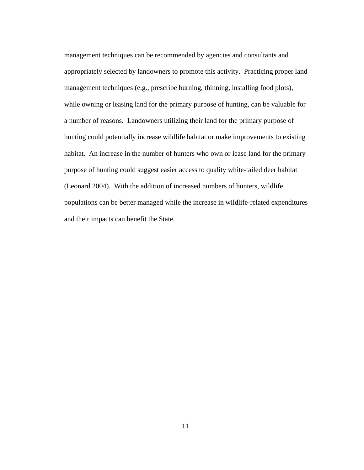management techniques can be recommended by agencies and consultants and appropriately selected by landowners to promote this activity. Practicing proper land management techniques (e.g., prescribe burning, thinning, installing food plots), while owning or leasing land for the primary purpose of hunting, can be valuable for a number of reasons. Landowners utilizing their land for the primary purpose of hunting could potentially increase wildlife habitat or make improvements to existing habitat. An increase in the number of hunters who own or lease land for the primary purpose of hunting could suggest easier access to quality white-tailed deer habitat (Leonard 2004). With the addition of increased numbers of hunters, wildlife populations can be better managed while the increase in wildlife-related expenditures and their impacts can benefit the State.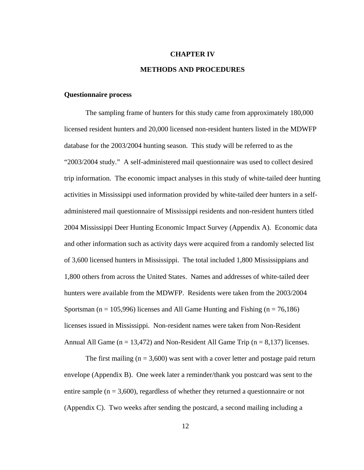#### **CHAPTER IV**

#### **METHODS AND PROCEDURES**

#### **Questionnaire process**

The sampling frame of hunters for this study came from approximately 180,000 licensed resident hunters and 20,000 licensed non-resident hunters listed in the MDWFP database for the 2003/2004 hunting season. This study will be referred to as the "2003/2004 study." A self-administered mail questionnaire was used to collect desired trip information. The economic impact analyses in this study of white-tailed deer hunting activities in Mississippi used information provided by white-tailed deer hunters in a selfadministered mail questionnaire of Mississippi residents and non-resident hunters titled 2004 Mississippi Deer Hunting Economic Impact Survey (Appendix A). Economic data and other information such as activity days were acquired from a randomly selected list of 3,600 licensed hunters in Mississippi. The total included 1,800 Mississippians and 1,800 others from across the United States. Names and addresses of white-tailed deer hunters were available from the MDWFP. Residents were taken from the 2003/2004 Sportsman ( $n = 105,996$ ) licenses and All Game Hunting and Fishing ( $n = 76,186$ ) licenses issued in Mississippi. Non-resident names were taken from Non-Resident Annual All Game ( $n = 13,472$ ) and Non-Resident All Game Trip ( $n = 8,137$ ) licenses.

The first mailing  $(n = 3,600)$  was sent with a cover letter and postage paid return envelope (Appendix B). One week later a reminder/thank you postcard was sent to the entire sample ( $n = 3,600$ ), regardless of whether they returned a questionnaire or not (Appendix C). Two weeks after sending the postcard, a second mailing including a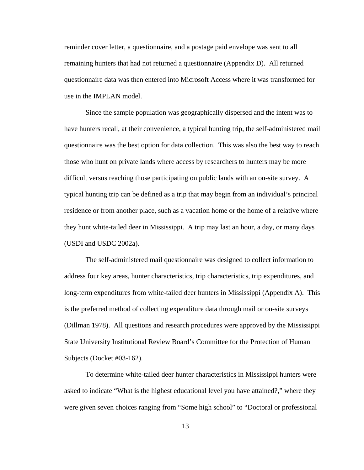reminder cover letter, a questionnaire, and a postage paid envelope was sent to all remaining hunters that had not returned a questionnaire (Appendix D). All returned questionnaire data was then entered into Microsoft Access where it was transformed for use in the IMPLAN model.

Since the sample population was geographically dispersed and the intent was to have hunters recall, at their convenience, a typical hunting trip, the self-administered mail questionnaire was the best option for data collection. This was also the best way to reach those who hunt on private lands where access by researchers to hunters may be more difficult versus reaching those participating on public lands with an on-site survey. A typical hunting trip can be defined as a trip that may begin from an individual's principal residence or from another place, such as a vacation home or the home of a relative where they hunt white-tailed deer in Mississippi. A trip may last an hour, a day, or many days (USDI and USDC 2002a).

The self-administered mail questionnaire was designed to collect information to address four key areas, hunter characteristics, trip characteristics, trip expenditures, and long-term expenditures from white-tailed deer hunters in Mississippi (Appendix A). This is the preferred method of collecting expenditure data through mail or on-site surveys (Dillman 1978). All questions and research procedures were approved by the Mississippi State University Institutional Review Board's Committee for the Protection of Human Subjects (Docket #03-162).

To determine white-tailed deer hunter characteristics in Mississippi hunters were asked to indicate "What is the highest educational level you have attained?," where they were given seven choices ranging from "Some high school" to "Doctoral or professional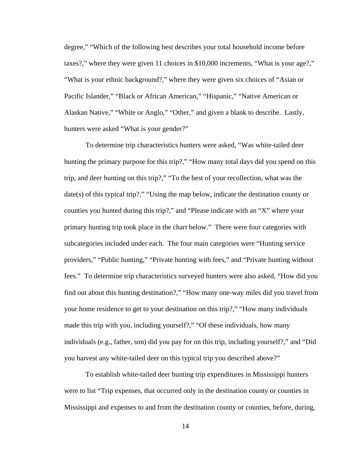degree," "Which of the following best describes your total household income before taxes?," where they were given 11 choices in \$10,000 increments, "What is your age?," "What is your ethnic background?," where they were given six choices of "Asian or Pacific Islander," "Black or African American," "Hispanic," "Native American or Alaskan Native," "White or Anglo," "Other," and given a blank to describe. Lastly, hunters were asked "What is your gender?"

To determine trip characteristics hunters were asked, "Was white-tailed deer hunting the primary purpose for this trip?," "How many total days did you spend on this trip, and deer hunting on this trip?," "To the best of your recollection, what was the date(s) of this typical trip?," "Using the map below, indicate the destination county or counties you hunted during this trip?," and "Please indicate with an "X" where your primary hunting trip took place in the chart below." There were four categories with subcategories included under each. The four main categories were "Hunting service providers," "Public hunting," "Private hunting with fees," and "Private hunting without fees." To determine trip characteristics surveyed hunters were also asked, "How did you find out about this hunting destination?," "How many one-way miles did you travel from your home residence to get to your destination on this trip?," "How many individuals made this trip with you, including yourself?," "Of these individuals, how many individuals (e.g., father, son) did you pay for on this trip, including yourself?," and "Did you harvest any white-tailed deer on this typical trip you described above?"

To establish white-tailed deer hunting trip expenditures in Mississippi hunters were to list "Trip expenses, that occurred only in the destination county or counties in Mississippi and expenses to and from the destination county or counties, before, during,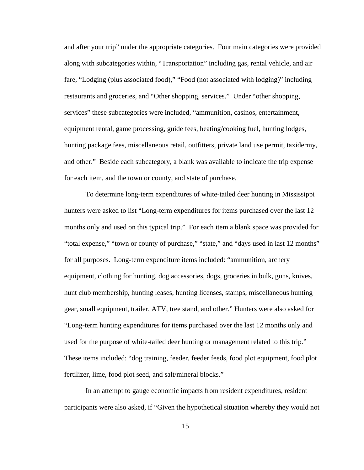and after your trip" under the appropriate categories. Four main categories were provided along with subcategories within, "Transportation" including gas, rental vehicle, and air fare, "Lodging (plus associated food)," "Food (not associated with lodging)" including restaurants and groceries, and "Other shopping, services." Under "other shopping, services" these subcategories were included, "ammunition, casinos, entertainment, equipment rental, game processing, guide fees, heating/cooking fuel, hunting lodges, hunting package fees, miscellaneous retail, outfitters, private land use permit, taxidermy, and other." Beside each subcategory, a blank was available to indicate the trip expense for each item, and the town or county, and state of purchase.

To determine long-term expenditures of white-tailed deer hunting in Mississippi hunters were asked to list "Long-term expenditures for items purchased over the last 12 months only and used on this typical trip." For each item a blank space was provided for "total expense," "town or county of purchase," "state," and "days used in last 12 months" for all purposes. Long-term expenditure items included: "ammunition, archery equipment, clothing for hunting, dog accessories, dogs, groceries in bulk, guns, knives, hunt club membership, hunting leases, hunting licenses, stamps, miscellaneous hunting gear, small equipment, trailer, ATV, tree stand, and other." Hunters were also asked for "Long-term hunting expenditures for items purchased over the last 12 months only and used for the purpose of white-tailed deer hunting or management related to this trip." These items included: "dog training, feeder, feeder feeds, food plot equipment, food plot fertilizer, lime, food plot seed, and salt/mineral blocks."

 In an attempt to gauge economic impacts from resident expenditures, resident participants were also asked, if "Given the hypothetical situation whereby they would not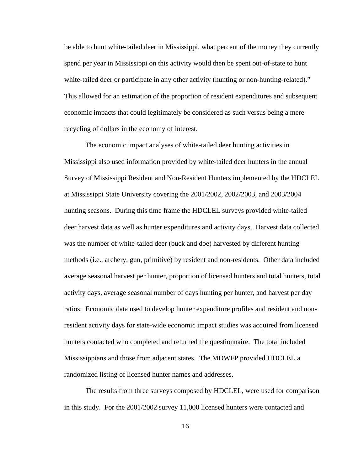be able to hunt white-tailed deer in Mississippi, what percent of the money they currently spend per year in Mississippi on this activity would then be spent out-of-state to hunt white-tailed deer or participate in any other activity (hunting or non-hunting-related)." This allowed for an estimation of the proportion of resident expenditures and subsequent economic impacts that could legitimately be considered as such versus being a mere recycling of dollars in the economy of interest.

The economic impact analyses of white-tailed deer hunting activities in Mississippi also used information provided by white-tailed deer hunters in the annual Survey of Mississippi Resident and Non-Resident Hunters implemented by the HDCLEL at Mississippi State University covering the 2001/2002, 2002/2003, and 2003/2004 hunting seasons. During this time frame the HDCLEL surveys provided white-tailed deer harvest data as well as hunter expenditures and activity days. Harvest data collected was the number of white-tailed deer (buck and doe) harvested by different hunting methods (i.e., archery, gun, primitive) by resident and non-residents. Other data included average seasonal harvest per hunter, proportion of licensed hunters and total hunters, total activity days, average seasonal number of days hunting per hunter, and harvest per day ratios. Economic data used to develop hunter expenditure profiles and resident and nonresident activity days for state-wide economic impact studies was acquired from licensed hunters contacted who completed and returned the questionnaire. The total included Mississippians and those from adjacent states. The MDWFP provided HDCLEL a randomized listing of licensed hunter names and addresses.

The results from three surveys composed by HDCLEL, were used for comparison in this study. For the 2001/2002 survey 11,000 licensed hunters were contacted and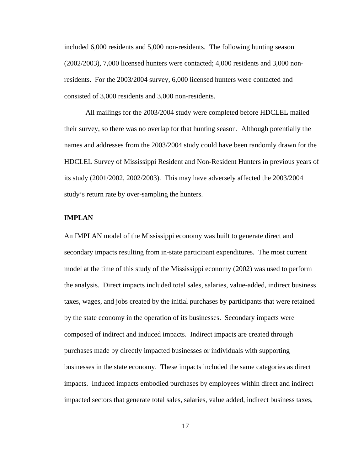included 6,000 residents and 5,000 non-residents. The following hunting season (2002/2003), 7,000 licensed hunters were contacted; 4,000 residents and 3,000 nonresidents. For the 2003/2004 survey, 6,000 licensed hunters were contacted and consisted of 3,000 residents and 3,000 non-residents.

All mailings for the 2003/2004 study were completed before HDCLEL mailed their survey, so there was no overlap for that hunting season. Although potentially the names and addresses from the 2003/2004 study could have been randomly drawn for the HDCLEL Survey of Mississippi Resident and Non-Resident Hunters in previous years of its study (2001/2002, 2002/2003). This may have adversely affected the 2003/2004 study's return rate by over-sampling the hunters.

#### **IMPLAN**

An IMPLAN model of the Mississippi economy was built to generate direct and secondary impacts resulting from in-state participant expenditures. The most current model at the time of this study of the Mississippi economy (2002) was used to perform the analysis. Direct impacts included total sales, salaries, value-added, indirect business taxes, wages, and jobs created by the initial purchases by participants that were retained by the state economy in the operation of its businesses. Secondary impacts were composed of indirect and induced impacts. Indirect impacts are created through purchases made by directly impacted businesses or individuals with supporting businesses in the state economy. These impacts included the same categories as direct impacts. Induced impacts embodied purchases by employees within direct and indirect impacted sectors that generate total sales, salaries, value added, indirect business taxes,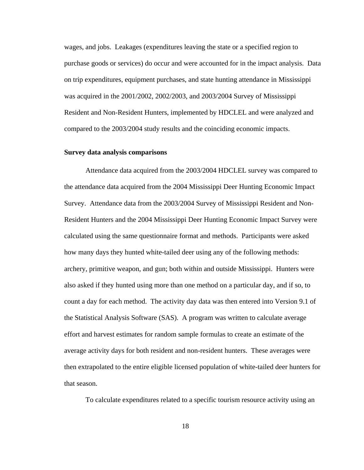wages, and jobs. Leakages (expenditures leaving the state or a specified region to purchase goods or services) do occur and were accounted for in the impact analysis. Data on trip expenditures, equipment purchases, and state hunting attendance in Mississippi was acquired in the 2001/2002, 2002/2003, and 2003/2004 Survey of Mississippi Resident and Non-Resident Hunters, implemented by HDCLEL and were analyzed and compared to the 2003/2004 study results and the coinciding economic impacts.

#### **Survey data analysis comparisons**

Attendance data acquired from the 2003/2004 HDCLEL survey was compared to the attendance data acquired from the 2004 Mississippi Deer Hunting Economic Impact Survey. Attendance data from the 2003/2004 Survey of Mississippi Resident and Non-Resident Hunters and the 2004 Mississippi Deer Hunting Economic Impact Survey were calculated using the same questionnaire format and methods. Participants were asked how many days they hunted white-tailed deer using any of the following methods: archery, primitive weapon, and gun; both within and outside Mississippi. Hunters were also asked if they hunted using more than one method on a particular day, and if so, to count a day for each method. The activity day data was then entered into Version 9.1 of the Statistical Analysis Software (SAS). A program was written to calculate average effort and harvest estimates for random sample formulas to create an estimate of the average activity days for both resident and non-resident hunters. These averages were then extrapolated to the entire eligible licensed population of white-tailed deer hunters for that season.

To calculate expenditures related to a specific tourism resource activity using an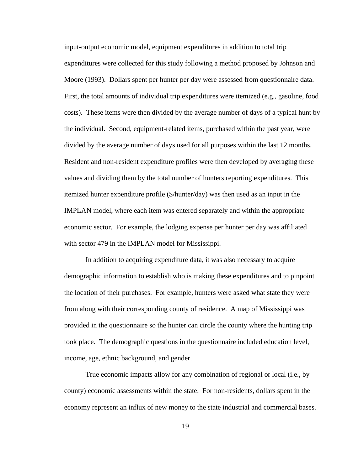input-output economic model, equipment expenditures in addition to total trip expenditures were collected for this study following a method proposed by Johnson and Moore (1993). Dollars spent per hunter per day were assessed from questionnaire data. First, the total amounts of individual trip expenditures were itemized (e.g., gasoline, food costs). These items were then divided by the average number of days of a typical hunt by the individual. Second, equipment-related items, purchased within the past year, were divided by the average number of days used for all purposes within the last 12 months. Resident and non-resident expenditure profiles were then developed by averaging these values and dividing them by the total number of hunters reporting expenditures. This itemized hunter expenditure profile (\$/hunter/day) was then used as an input in the IMPLAN model, where each item was entered separately and within the appropriate economic sector. For example, the lodging expense per hunter per day was affiliated with sector 479 in the IMPLAN model for Mississippi.

In addition to acquiring expenditure data, it was also necessary to acquire demographic information to establish who is making these expenditures and to pinpoint the location of their purchases. For example, hunters were asked what state they were from along with their corresponding county of residence. A map of Mississippi was provided in the questionnaire so the hunter can circle the county where the hunting trip took place. The demographic questions in the questionnaire included education level, income, age, ethnic background, and gender.

True economic impacts allow for any combination of regional or local (i.e., by county) economic assessments within the state. For non-residents, dollars spent in the economy represent an influx of new money to the state industrial and commercial bases.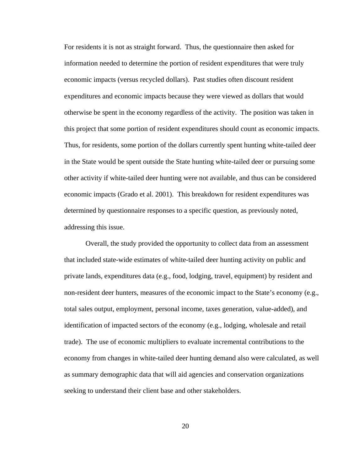For residents it is not as straight forward. Thus, the questionnaire then asked for information needed to determine the portion of resident expenditures that were truly economic impacts (versus recycled dollars). Past studies often discount resident expenditures and economic impacts because they were viewed as dollars that would otherwise be spent in the economy regardless of the activity. The position was taken in this project that some portion of resident expenditures should count as economic impacts. Thus, for residents, some portion of the dollars currently spent hunting white-tailed deer in the State would be spent outside the State hunting white-tailed deer or pursuing some other activity if white-tailed deer hunting were not available, and thus can be considered economic impacts (Grado et al. 2001). This breakdown for resident expenditures was determined by questionnaire responses to a specific question, as previously noted, addressing this issue.

Overall, the study provided the opportunity to collect data from an assessment that included state-wide estimates of white-tailed deer hunting activity on public and private lands, expenditures data (e.g., food, lodging, travel, equipment) by resident and non-resident deer hunters, measures of the economic impact to the State's economy (e.g., total sales output, employment, personal income, taxes generation, value-added), and identification of impacted sectors of the economy (e.g., lodging, wholesale and retail trade). The use of economic multipliers to evaluate incremental contributions to the economy from changes in white-tailed deer hunting demand also were calculated, as well as summary demographic data that will aid agencies and conservation organizations seeking to understand their client base and other stakeholders.

20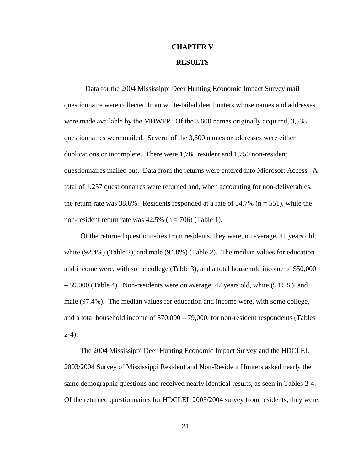### **CHAPTER V RESULTS**

 Data for the 2004 Mississippi Deer Hunting Economic Impact Survey mail questionnaire were collected from white-tailed deer hunters whose names and addresses were made available by the MDWFP. Of the 3,600 names originally acquired, 3,538 questionnaires were mailed. Several of the 3,600 names or addresses were either duplications or incomplete. There were 1,788 resident and 1,750 non-resident questionnaires mailed out. Data from the returns were entered into Microsoft Access. A total of 1,257 questionnaires were returned and, when accounting for non-deliverables, the return rate was 38.6%. Residents responded at a rate of  $34.7\%$  (n = 551), while the non-resident return rate was  $42.5\%$  (n = 706) (Table 1).

Of the returned questionnaires from residents, they were, on average, 41 years old, white (92.4%) (Table 2), and male (94.0%) (Table 2). The median values for education and income were, with some college (Table 3), and a total household income of \$50,000 – 59,000 (Table 4). Non-residents were on average, 47 years old, white (94.5%), and male (97.4%). The median values for education and income were, with some college, and a total household income of \$70,000 – 79,000, for non-resident respondents (Tables  $2-4$ ).

The 2004 Mississippi Deer Hunting Economic Impact Survey and the HDCLEL 2003/2004 Survey of Mississippi Resident and Non-Resident Hunters asked nearly the same demographic questions and received nearly identical results, as seen in Tables 2-4. Of the returned questionnaires for HDCLEL 2003/2004 survey from residents, they were,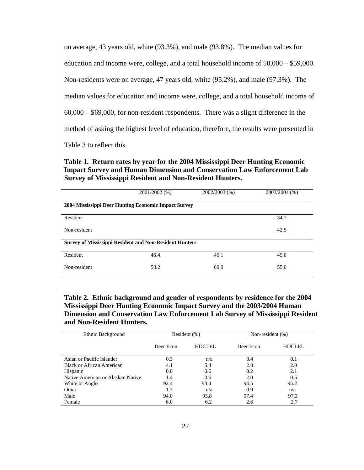on average, 43 years old, white (93.3%), and male (93.8%). The median values for education and income were, college, and a total household income of 50,000 – \$59,000. Non-residents were on average, 47 years old, white (95.2%), and male (97.3%). The median values for education and income were, college, and a total household income of 60,000 – \$69,000, for non-resident respondents. There was a slight difference in the method of asking the highest level of education, therefore, the results were presented in Table 3 to reflect this.

#### **Table 1. Return rates by year for the 2004 Mississippi Deer Hunting Economic Impact Survey and Human Dimension and Conservation Law Enforcement Lab Survey of Mississippi Resident and Non-Resident Hunters.**

|                                                                | 2001/2002 (%) | 2002/2003 (%) | 2003/2004 (%) |  |  |  |
|----------------------------------------------------------------|---------------|---------------|---------------|--|--|--|
| 2004 Mississippi Deer Hunting Economic Impact Survey           |               |               |               |  |  |  |
| Resident                                                       |               |               | 34.7          |  |  |  |
| Non-resident                                                   |               |               | 42.5          |  |  |  |
| <b>Survey of Mississippi Resident and Non-Resident Hunters</b> |               |               |               |  |  |  |
| Resident                                                       | 46.4          | 45.1          | 49.0          |  |  |  |
| Non-resident                                                   | 53.2          | 60.0          | 55.0          |  |  |  |

**Table 2. Ethnic background and gender of respondents by residence for the 2004 Mississippi Deer Hunting Economic Impact Survey and the 2003/2004 Human Dimension and Conservation Law Enforcement Lab Survey of Mississippi Resident and Non-Resident Hunters.** 

| Ethnic Background                 | Resident $(\%)$ |        | Non-resident $(\%)$ |        |
|-----------------------------------|-----------------|--------|---------------------|--------|
|                                   | Deer Econ.      | HDCLEL | Deer Econ.          | HDCLEL |
| Asian or Pacific Islander         | 0.3             | n/a    | 0.4                 | 0.1    |
| Black or African American         | 4.1             | 5.4    | 2.0                 | 2.0    |
| Hispanic                          | 0.0             | 0.6    | 0.2                 | 2.1    |
| Native American or Alaskan Native | 1.4             | 0.6    | 2.0                 | 0.5    |
| White or Anglo                    | 92.4            | 93.4   | 94.5                | 95.2   |
| Other                             | 1.7             | n/a    | 0.9                 | n/a    |
| Male                              | 94.0            | 93.8   | 97.4                | 97.3   |
| Female                            | 6.0             | 6.2    | 2.6                 | 2.7    |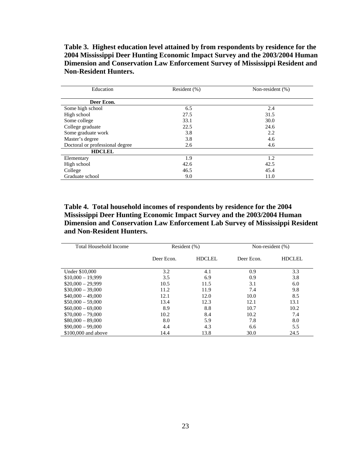**Table 3. Highest education level attained by from respondents by residence for the 2004 Mississippi Deer Hunting Economic Impact Survey and the 2003/2004 Human Dimension and Conservation Law Enforcement Survey of Mississippi Resident and Non-Resident Hunters.** 

| Education                       | Resident (%) | Non-resident (%) |  |
|---------------------------------|--------------|------------------|--|
| Deer Econ.                      |              |                  |  |
| Some high school                | 6.5          | 2.4              |  |
| High school                     | 27.5         | 31.5             |  |
| Some college                    | 33.1         | 30.0             |  |
| College graduate                | 22.5         | 24.6             |  |
| Some graduate work              | 3.8          | 2.2              |  |
| Master's degree                 | 3.8          | 4.6              |  |
| Doctoral or professional degree | 2.6          | 4.6              |  |
| <b>HDCLEL</b>                   |              |                  |  |
| Elementary                      | 1.9          | 1.2              |  |
| High school                     | 42.6         | 42.5             |  |
| College                         | 46.5         | 45.4             |  |
| Graduate school                 | 9.0          | 11.0             |  |

**Table 4. Total household incomes of respondents by residence for the 2004 Mississippi Deer Hunting Economic Impact Survey and the 2003/2004 Human Dimension and Conservation Law Enforcement Lab Survey of Mississippi Resident and Non-Resident Hunters.** 

| Total Household Income | Resident (%) |               | Non-resident (%) |               |
|------------------------|--------------|---------------|------------------|---------------|
|                        | Deer Econ.   | <b>HDCLEL</b> | Deer Econ.       | <b>HDCLEL</b> |
| Under \$10,000         | 3.2          | 4.1           | 0.9              | 3.3           |
| $$10,000 - 19,999$     | 3.5          | 6.9           | 0.9              | 3.8           |
| $$20,000 - 29,999$     | 10.5         | 11.5          | 3.1              | 6.0           |
| $$30,000 - 39,000$     | 11.2         | 11.9          | 7.4              | 9.8           |
| $$40,000 - 49,000$     | 12.1         | 12.0          | 10.0             | 8.5           |
| $$50,000 - 59,000$     | 13.4         | 12.3          | 12.1             | 13.1          |
| $$60,000 - 69,000$     | 8.9          | 8.8           | 10.7             | 10.2          |
| $$70,000 - 79,000$     | 10.2         | 8.4           | 10.2             | 7.4           |
| $$80,000 - 89,000$     | 8.0          | 5.9           | 7.8              | 8.0           |
| $$90,000 - 99,000$     | 4.4          | 4.3           | 6.6              | 5.5           |
| \$100,000 and above    | 14.4         | 13.8          | 30.0             | 24.5          |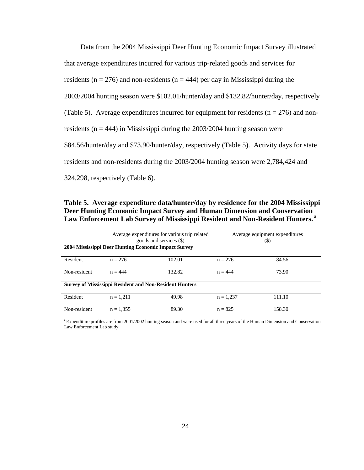Data from the 2004 Mississippi Deer Hunting Economic Impact Survey illustrated that average expenditures incurred for various trip-related goods and services for residents ( $n = 276$ ) and non-residents ( $n = 444$ ) per day in Mississippi during the 2003/2004 hunting season were \$102.01/hunter/day and \$132.82/hunter/day, respectively (Table 5). Average expenditures incurred for equipment for residents ( $n = 276$ ) and nonresidents ( $n = 444$ ) in Mississippi during the 2003/2004 hunting season were \$84.56/hunter/day and \$73.90/hunter/day, respectively (Table 5). Activity days for state residents and non-residents during the 2003/2004 hunting season were 2,784,424 and 324,298, respectively (Table 6).

**Table 5. Average expenditure data/hunter/day by residence for the 2004 Mississippi Deer Hunting Economic Impact Survey and Human Dimension and Conservation Law Enforcement Lab Survey of Mississippi Resident and Non-Resident Hunters. <sup>a</sup>**

| Average expenditures for various trip related<br>goods and services (\$)<br>2004 Mississippi Deer Hunting Economic Impact Survey |             |        | Average equipment expenditures<br>(\$) |        |
|----------------------------------------------------------------------------------------------------------------------------------|-------------|--------|----------------------------------------|--------|
| Resident                                                                                                                         | $n = 276$   | 102.01 | $n = 276$                              | 84.56  |
| Non-resident                                                                                                                     | $n = 444$   | 132.82 | $n = 444$                              | 73.90  |
| <b>Survey of Mississippi Resident and Non-Resident Hunters</b>                                                                   |             |        |                                        |        |
| Resident                                                                                                                         | $n = 1.211$ | 49.98  | $n = 1.237$                            | 111.10 |
| Non-resident                                                                                                                     | $n = 1.355$ | 89.30  | $n = 825$                              | 158.30 |

<sup>a</sup> Expenditure profiles are from 2001/2002 hunting season and were used for all three years of the Human Dimension and Conservation Law Enforcement Lab study.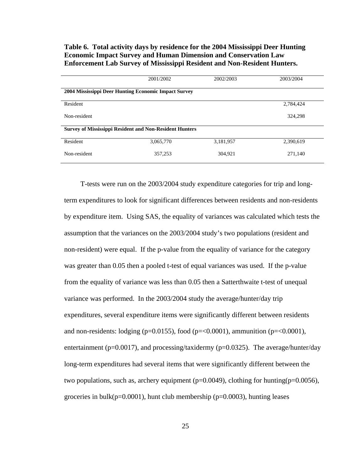#### **Table 6. Total activity days by residence for the 2004 Mississippi Deer Hunting Economic Impact Survey and Human Dimension and Conservation Law Enforcement Lab Survey of Mississippi Resident and Non-Resident Hunters.**

|                                                                | 2001/2002 | 2002/2003 | 2003/2004 |  |  |  |
|----------------------------------------------------------------|-----------|-----------|-----------|--|--|--|
| 2004 Mississippi Deer Hunting Economic Impact Survey           |           |           |           |  |  |  |
| Resident                                                       |           |           | 2,784,424 |  |  |  |
| Non-resident                                                   |           |           | 324,298   |  |  |  |
| <b>Survey of Mississippi Resident and Non-Resident Hunters</b> |           |           |           |  |  |  |
| Resident                                                       | 3,065,770 | 3,181,957 | 2,390,619 |  |  |  |
| Non-resident                                                   | 357,253   | 304,921   | 271,140   |  |  |  |

T-tests were run on the 2003/2004 study expenditure categories for trip and longterm expenditures to look for significant differences between residents and non-residents by expenditure item. Using SAS, the equality of variances was calculated which tests the assumption that the variances on the 2003/2004 study's two populations (resident and non-resident) were equal. If the p-value from the equality of variance for the category was greater than 0.05 then a pooled t-test of equal variances was used. If the p-value from the equality of variance was less than 0.05 then a Satterthwaite t-test of unequal variance was performed. In the 2003/2004 study the average/hunter/day trip expenditures, several expenditure items were significantly different between residents and non-residents: lodging (p=0.0155), food (p=<0.0001), ammunition (p=<0.0001), entertainment ( $p=0.0017$ ), and processing/taxidermy ( $p=0.0325$ ). The average/hunter/day long-term expenditures had several items that were significantly different between the two populations, such as, archery equipment ( $p=0.0049$ ), clothing for hunting( $p=0.0056$ ), groceries in bulk( $p=0.0001$ ), hunt club membership ( $p=0.0003$ ), hunting leases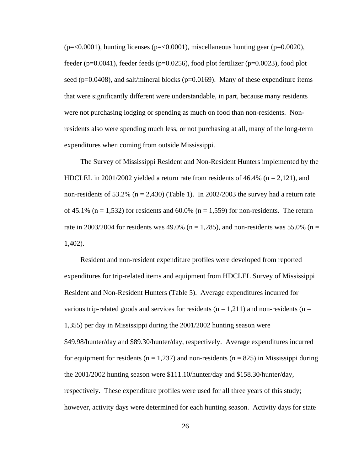$(p=<0.0001)$ , hunting licenses ( $p=<0.0001$ ), miscellaneous hunting gear ( $p=<0.0020$ ), feeder (p=0.0041), feeder feeds (p=0.0256), food plot fertilizer (p=0.0023), food plot seed ( $p=0.0408$ ), and salt/mineral blocks ( $p=0.0169$ ). Many of these expenditure items that were significantly different were understandable, in part, because many residents were not purchasing lodging or spending as much on food than non-residents. Nonresidents also were spending much less, or not purchasing at all, many of the long-term expenditures when coming from outside Mississippi.

The Survey of Mississippi Resident and Non-Resident Hunters implemented by the HDCLEL in 2001/2002 yielded a return rate from residents of 46.4% ( $n = 2,121$ ), and non-residents of 53.2% ( $n = 2,430$ ) (Table 1). In 2002/2003 the survey had a return rate of 45.1% ( $n = 1,532$ ) for residents and 60.0% ( $n = 1,559$ ) for non-residents. The return rate in 2003/2004 for residents was 49.0% ( $n = 1,285$ ), and non-residents was 55.0% ( $n =$ 1,402).

Resident and non-resident expenditure profiles were developed from reported expenditures for trip-related items and equipment from HDCLEL Survey of Mississippi Resident and Non-Resident Hunters (Table 5). Average expenditures incurred for various trip-related goods and services for residents ( $n = 1,211$ ) and non-residents ( $n =$ 1,355) per day in Mississippi during the 2001/2002 hunting season were \$49.98/hunter/day and \$89.30/hunter/day, respectively. Average expenditures incurred for equipment for residents ( $n = 1,237$ ) and non-residents ( $n = 825$ ) in Mississippi during the 2001/2002 hunting season were \$111.10/hunter/day and \$158.30/hunter/day, respectively. These expenditure profiles were used for all three years of this study; however, activity days were determined for each hunting season. Activity days for state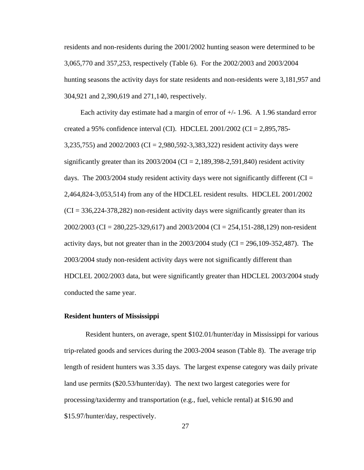residents and non-residents during the 2001/2002 hunting season were determined to be 3,065,770 and 357,253, respectively (Table 6). For the 2002/2003 and 2003/2004 hunting seasons the activity days for state residents and non-residents were 3,181,957 and 304,921 and 2,390,619 and 271,140, respectively.

Each activity day estimate had a margin of error of  $+/- 1.96$ . A 1.96 standard error created a 95% confidence interval (CI). HDCLEL 2001/2002 (CI = 2,895,785-3,235,755) and 2002/2003 (CI = 2,980,592-3,383,322) resident activity days were significantly greater than its  $2003/2004$  (CI = 2,189,398-2,591,840) resident activity days. The 2003/2004 study resident activity days were not significantly different ( $CI =$ 2,464,824-3,053,514) from any of the HDCLEL resident results. HDCLEL 2001/2002  $(CI = 336,224-378,282)$  non-resident activity days were significantly greater than its 2002/2003 (CI = 280,225-329,617) and 2003/2004 (CI = 254,151-288,129) non-resident activity days, but not greater than in the  $2003/2004$  study (CI = 296,109-352,487). The 2003/2004 study non-resident activity days were not significantly different than HDCLEL 2002/2003 data, but were significantly greater than HDCLEL 2003/2004 study conducted the same year.

### **Resident hunters of Mississippi**

Resident hunters, on average, spent \$102.01/hunter/day in Mississippi for various trip-related goods and services during the 2003-2004 season (Table 8). The average trip length of resident hunters was 3.35 days. The largest expense category was daily private land use permits (\$20.53/hunter/day). The next two largest categories were for processing/taxidermy and transportation (e.g., fuel, vehicle rental) at \$16.90 and \$15.97/hunter/day, respectively.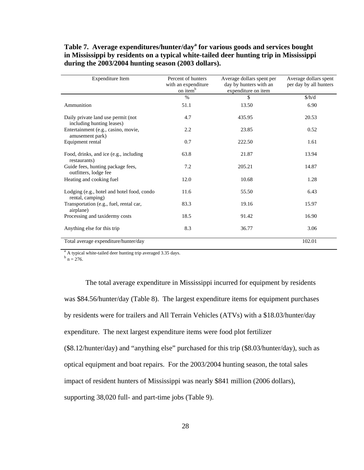**Table 7. Average expenditures/hunter/day<sup>a</sup> for various goods and services bought in Mississippi by residents on a typical white-tailed deer hunting trip in Mississippi during the 2003/2004 hunting season (2003 dollars).** 

| Expenditure Item                                                | Percent of hunters<br>with an expenditure<br>on item <sup>b</sup> | Average dollars spent per<br>day by hunters with an<br>expenditure on item | Average dollars spent<br>per day by all hunters |
|-----------------------------------------------------------------|-------------------------------------------------------------------|----------------------------------------------------------------------------|-------------------------------------------------|
|                                                                 | $\%$                                                              | $\mathbb{S}$                                                               | \$/h/d\$                                        |
| Ammunition                                                      | 51.1                                                              | 13.50                                                                      | 6.90                                            |
| Daily private land use permit (not<br>including hunting leases) | 4.7                                                               | 435.95                                                                     | 20.53                                           |
| Entertainment (e.g., casino, movie,<br>amusement park)          | 2.2                                                               | 23.85                                                                      | 0.52                                            |
| Equipment rental                                                | 0.7                                                               | 222.50                                                                     | 1.61                                            |
| Food, drinks, and ice (e.g., including<br>restaurants)          | 63.8                                                              | 21.87                                                                      | 13.94                                           |
| Guide fees, hunting package fees,<br>outfitters, lodge fee      | 7.2                                                               | 205.21                                                                     | 14.87                                           |
| Heating and cooking fuel                                        | 12.0                                                              | 10.68                                                                      | 1.28                                            |
| Lodging (e.g., hotel and hotel food, condo<br>rental, camping)  | 11.6                                                              | 55.50                                                                      | 6.43                                            |
| Transportation (e.g., fuel, rental car,<br>airplane)            | 83.3                                                              | 19.16                                                                      | 15.97                                           |
| Processing and taxidermy costs                                  | 18.5                                                              | 91.42                                                                      | 16.90                                           |
| Anything else for this trip                                     | 8.3                                                               | 36.77                                                                      | 3.06                                            |
| Total average expenditure/hunter/day                            |                                                                   |                                                                            | 102.01                                          |

<sup>a</sup> A typical white-tailed deer hunting trip averaged 3.35 days.  $\frac{b}{n} = 276$ .

The total average expenditure in Mississippi incurred for equipment by residents was \$84.56/hunter/day (Table 8). The largest expenditure items for equipment purchases by residents were for trailers and All Terrain Vehicles (ATVs) with a \$18.03/hunter/day expenditure. The next largest expenditure items were food plot fertilizer (\$8.12/hunter/day) and "anything else" purchased for this trip (\$8.03/hunter/day), such as optical equipment and boat repairs. For the 2003/2004 hunting season, the total sales impact of resident hunters of Mississippi was nearly \$841 million (2006 dollars), supporting 38,020 full- and part-time jobs (Table 9).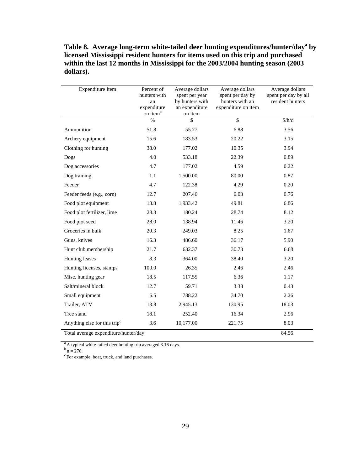| Table 8. Average long-term white-tailed deer hunting expenditures/hunter/day <sup>a</sup> by |
|----------------------------------------------------------------------------------------------|
| licensed Mississippi resident hunters for items used on this trip and purchased              |
| within the last 12 months in Mississippi for the 2003/2004 hunting season (2003)             |
| dollars).                                                                                    |

| Expenditure Item                                                                 | Percent of<br>hunters with<br>an<br>expenditure<br>on item <sup>b</sup> | Average dollars<br>spent per year<br>by hunters with<br>an expenditure<br>on item | Average dollars<br>spent per day by<br>hunters with an<br>expenditure on item | Average dollars<br>spent per day by all<br>resident hunters |
|----------------------------------------------------------------------------------|-------------------------------------------------------------------------|-----------------------------------------------------------------------------------|-------------------------------------------------------------------------------|-------------------------------------------------------------|
|                                                                                  | $\frac{0}{0}$                                                           | \$                                                                                | $\overline{\mathbb{S}}$                                                       | \$/h/d\$                                                    |
| Ammunition                                                                       | 51.8                                                                    | 55.77                                                                             | 6.88                                                                          | 3.56                                                        |
| Archery equipment                                                                | 15.6                                                                    | 183.53                                                                            | 20.22                                                                         | 3.15                                                        |
| Clothing for hunting                                                             | 38.0                                                                    | 177.02                                                                            | 10.35                                                                         | 3.94                                                        |
| Dogs                                                                             | 4.0                                                                     | 533.18                                                                            | 22.39                                                                         | 0.89                                                        |
| Dog accessories                                                                  | 4.7                                                                     | 177.02                                                                            | 4.59                                                                          | 0.22                                                        |
| Dog training                                                                     | 1.1                                                                     | 1,500.00                                                                          | 80.00                                                                         | 0.87                                                        |
| Feeder                                                                           | 4.7                                                                     | 122.38                                                                            | 4.29                                                                          | 0.20                                                        |
| Feeder feeds (e.g., corn)                                                        | 12.7                                                                    | 207.46                                                                            | 6.03                                                                          | 0.76                                                        |
| Food plot equipment                                                              | 13.8                                                                    | 1,933.42                                                                          | 49.81                                                                         | 6.86                                                        |
| Food plot fertilizer, lime                                                       | 28.3                                                                    | 180.24                                                                            | 28.74                                                                         | 8.12                                                        |
| Food plot seed                                                                   | 28.0                                                                    | 138.94                                                                            | 11.46                                                                         | 3.20                                                        |
| Groceries in bulk                                                                | 20.3                                                                    | 249.03                                                                            | 8.25                                                                          | 1.67                                                        |
| Guns, knives                                                                     | 16.3                                                                    | 486.60                                                                            | 36.17                                                                         | 5.90                                                        |
| Hunt club membership                                                             | 21.7                                                                    | 632.37                                                                            | 30.73                                                                         | 6.68                                                        |
| Hunting leases                                                                   | 8.3                                                                     | 364.00                                                                            | 38.40                                                                         | 3.20                                                        |
| Hunting licenses, stamps                                                         | 100.0                                                                   | 26.35                                                                             | 2.46                                                                          | 2.46                                                        |
| Misc. hunting gear                                                               | 18.5                                                                    | 117.55                                                                            | 6.36                                                                          | 1.17                                                        |
| Salt/mineral block                                                               | 12.7                                                                    | 59.71                                                                             | 3.38                                                                          | 0.43                                                        |
| Small equipment                                                                  | 6.5                                                                     | 788.22                                                                            | 34.70                                                                         | 2.26                                                        |
| Trailer, ATV                                                                     | 13.8                                                                    | 2,945.13                                                                          | 130.95                                                                        | 18.03                                                       |
| Tree stand                                                                       | 18.1                                                                    | 252.40                                                                            | 16.34                                                                         | 2.96                                                        |
| Anything else for this trip <sup>c</sup><br>Total average expenditure/hunter/day | 3.6                                                                     | 10,177.00                                                                         | 221.75                                                                        | 8.03                                                        |

<sup>a</sup> A typical white-tailed deer hunting trip averaged 3.16 days.

 $b<sup>b</sup>$  n = 276.<br><sup>c</sup> For example, boat, truck, and land purchases.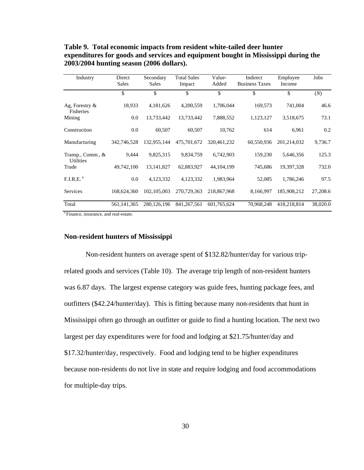| Industry                              | Direct<br><b>Sales</b> | Secondary<br>Sales | <b>Total Sales</b><br>Impact | Value-<br>Added | Indirect<br><b>Business Taxes</b> | Employee<br>Income | Jobs     |
|---------------------------------------|------------------------|--------------------|------------------------------|-----------------|-----------------------------------|--------------------|----------|
|                                       | \$                     | \$                 | \$                           | \$              | \$                                | \$                 | (N)      |
| Ag, Forestry $\&$<br>Fisheries        | 18,933                 | 4,181,626          | 4,200,559                    | 1,706,044       | 169,573                           | 741,004            | 46.6     |
| Mining                                | 0.0                    | 13,733,442         | 13,733,442                   | 7,888,552       | 1,123,127                         | 3,518,675          | 73.1     |
| Construction                          | 0.0                    | 60.507             | 60,507                       | 10,762          | 614                               | 6,961              | 0.2      |
| Manufacturing                         | 342,746,528            | 132,955,144        | 475,701,672                  | 320, 461, 232   | 60,550,936                        | 201,214,032        | 9,736.7  |
| Transp., Comm., &<br><b>Utilities</b> | 9,444                  | 9,825,315          | 9,834,759                    | 6,742,903       | 159,230                           | 5,646,356          | 125.3    |
| Trade                                 | 49,742,100             | 13, 141, 827       | 62,883,927                   | 44, 104, 199    | 745,686                           | 19,397,328         | 732.0    |
| F.I.R.E. <sup>a</sup>                 | 0.0                    | 4,123,332          | 4,123,332                    | 1,983,964       | 52,085                            | 1,786,246          | 97.5     |
| Services                              | 168,624,360            | 102, 105, 003      | 270,729,363                  | 218,867,968     | 8,166,997                         | 185,908,212        | 27,208.6 |
| Total                                 | 561, 141, 365          | 280, 126, 196      | 841, 267, 561                | 601,765,624     | 70,968,248                        | 418,218,814        | 38,020.0 |

**Table 9. Total economic impacts from resident white-tailed deer hunter expenditures for goods and services and equipment bought in Mississippi during the 2003/2004 hunting season (2006 dollars).** 

a Finance, insurance, and real-estate.

### **Non-resident hunters of Mississippi**

Non-resident hunters on average spent of \$132.82/hunter/day for various triprelated goods and services (Table 10). The average trip length of non-resident hunters was 6.87 days. The largest expense category was guide fees, hunting package fees, and outfitters (\$42.24/hunter/day). This is fitting because many non-residents that hunt in Mississippi often go through an outfitter or guide to find a hunting location. The next two largest per day expenditures were for food and lodging at \$21.75/hunter/day and \$17.32/hunter/day, respectively. Food and lodging tend to be higher expenditures because non-residents do not live in state and require lodging and food accommodations for multiple-day trips.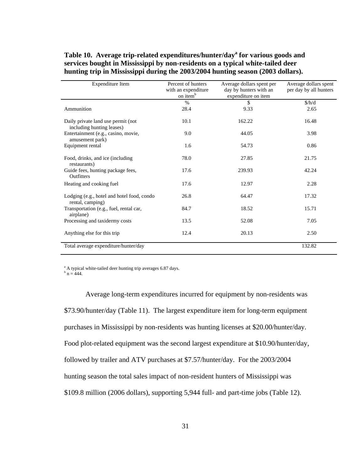# Table 10. Average trip-related expenditures/hunter/day<sup>a</sup> for various goods and **services bought in Mississippi by non-residents on a typical white-tailed deer hunting trip in Mississippi during the 2003/2004 hunting season (2003 dollars).**

| Expenditure Item                                                | Percent of hunters<br>with an expenditure<br>on item <sup>b</sup> | Average dollars spent per<br>day by hunters with an<br>expenditure on item | Average dollars spent<br>per day by all hunters |
|-----------------------------------------------------------------|-------------------------------------------------------------------|----------------------------------------------------------------------------|-------------------------------------------------|
|                                                                 | $\%$                                                              | \$                                                                         | \$/h/d\$                                        |
| Ammunition                                                      | 28.4                                                              | 9.33                                                                       | 2.65                                            |
| Daily private land use permit (not<br>including hunting leases) | 10.1                                                              | 162.22                                                                     | 16.48                                           |
| Entertainment (e.g., casino, movie,<br>amusement park)          | 9.0                                                               | 44.05                                                                      | 3.98                                            |
| Equipment rental                                                | 1.6                                                               | 54.73                                                                      | 0.86                                            |
| Food, drinks, and ice (including<br>restaurants)                | 78.0                                                              | 27.85                                                                      | 21.75                                           |
| Guide fees, hunting package fees,<br>Outfitters                 | 17.6                                                              | 239.93                                                                     | 42.24                                           |
| Heating and cooking fuel                                        | 17.6                                                              | 12.97                                                                      | 2.28                                            |
| Lodging (e.g., hotel and hotel food, condo<br>rental, camping)  | 26.8                                                              | 64.47                                                                      | 17.32                                           |
| Transportation (e.g., fuel, rental car,<br>airplane)            | 84.7                                                              | 18.52                                                                      | 15.71                                           |
| Processing and taxidermy costs                                  | 13.5                                                              | 52.08                                                                      | 7.05                                            |
| Anything else for this trip                                     | 12.4                                                              | 20.13                                                                      | 2.50                                            |
| Total average expenditure/hunter/day                            |                                                                   |                                                                            | 132.82                                          |

<sup>a</sup> A typical white-tailed deer hunting trip averages 6.87 days.

 $^{\rm b}$  n = 444.

Average long-term expenditures incurred for equipment by non-residents was \$73.90/hunter/day (Table 11). The largest expenditure item for long-term equipment purchases in Mississippi by non-residents was hunting licenses at \$20.00/hunter/day. Food plot-related equipment was the second largest expenditure at \$10.90/hunter/day, followed by trailer and ATV purchases at \$7.57/hunter/day. For the 2003/2004 hunting season the total sales impact of non-resident hunters of Mississippi was \$109.8 million (2006 dollars), supporting 5,944 full- and part-time jobs (Table 12).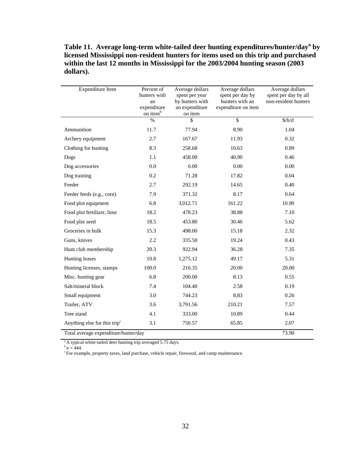**Table 11. Average long-term white-tailed deer hunting expenditures/hunter/day<sup>a</sup> by licensed Mississippi non-resident hunters for items used on this trip and purchased within the last 12 months in Mississippi for the 2003/2004 hunting season (2003 dollars).** 

| <b>Expenditure Item</b>                  | Percent of<br>hunters with<br>an<br>expenditure<br>on item <sup>b</sup> | Average dollars<br>spent per year<br>by hunters with<br>an expenditure<br>on item | Average dollars<br>spent per day by<br>hunters with an<br>expenditure on item | Average dollars<br>spent per day by all<br>non-resident hunters |
|------------------------------------------|-------------------------------------------------------------------------|-----------------------------------------------------------------------------------|-------------------------------------------------------------------------------|-----------------------------------------------------------------|
|                                          | $\%$                                                                    | \$                                                                                | $\overline{\$}$                                                               | \$/h/d\$                                                        |
| Ammunition                               | 11.7                                                                    | 77.94                                                                             | 8.90                                                                          | 1.04                                                            |
| Archery equipment                        | 2.7                                                                     | 167.67                                                                            | 11.93                                                                         | 0.32                                                            |
| Clothing for hunting                     | 8.3                                                                     | 258.68                                                                            | 10.63                                                                         | 0.89                                                            |
| Dogs                                     | 1.1                                                                     | 458.00                                                                            | 40.90                                                                         | 0.46                                                            |
| Dog accessories                          | 0.0                                                                     | 0.00                                                                              | 0.00                                                                          | 0.00                                                            |
| Dog training                             | 0.2                                                                     | 71.28                                                                             | 17.82                                                                         | 0.04                                                            |
| Feeder                                   | 2.7                                                                     | 292.19                                                                            | 14.65                                                                         | 0.40                                                            |
| Feeder feeds (e.g., corn)                | 7.9                                                                     | 371.32                                                                            | 8.17                                                                          | 0.64                                                            |
| Food plot equipment                      | 6.8                                                                     | 3,012.71                                                                          | 161.22                                                                        | 10.90                                                           |
| Food plot fertilizer, lime               | 18.2                                                                    | 478.23                                                                            | 38.88                                                                         | 7.10                                                            |
| Food plot seed                           | 18.5                                                                    | 453.80                                                                            | 30.46                                                                         | 5.62                                                            |
| Groceries in bulk                        | 15.3                                                                    | 498.00                                                                            | 15.18                                                                         | 2.32                                                            |
| Guns, knives                             | 2.2                                                                     | 335.50                                                                            | 19.24                                                                         | 0.43                                                            |
| Hunt club membership                     | 20.3                                                                    | 922.94                                                                            | 36.28                                                                         | 7.35                                                            |
| Hunting leases                           | 10.8                                                                    | 1,275.12                                                                          | 49.17                                                                         | 5.31                                                            |
| Hunting licenses, stamps                 | 100.0                                                                   | 216.35                                                                            | 20.00                                                                         | 20.00                                                           |
| Misc. hunting gear                       | 6.8                                                                     | 200.00                                                                            | 8.13                                                                          | 0.55                                                            |
| Salt/mineral block                       | 7.4                                                                     | 104.40                                                                            | 2.58                                                                          | 0.19                                                            |
| Small equipment                          | 3.0                                                                     | 744.23                                                                            | 8.83                                                                          | 0.26                                                            |
| Trailer, ATV                             | 3.6                                                                     | 3,791.56                                                                          | 210.21                                                                        | 7.57                                                            |
| Tree stand                               | 4.1                                                                     | 333.00                                                                            | 10.89                                                                         | 0.44                                                            |
| Anything else for this trip <sup>c</sup> | 3.1                                                                     | 750.57                                                                            | 65.85                                                                         | 2.07                                                            |
| Total average expenditure/hunter/day     |                                                                         |                                                                                   |                                                                               | 73.90                                                           |

<sup>a</sup> A typical white-tailed deer hunting trip averaged 5.75 days.

 $^{\rm b}$  n = 444.

<sup>c</sup> For example, property taxes, land purchase, vehicle repair, firewood, and camp maintenance.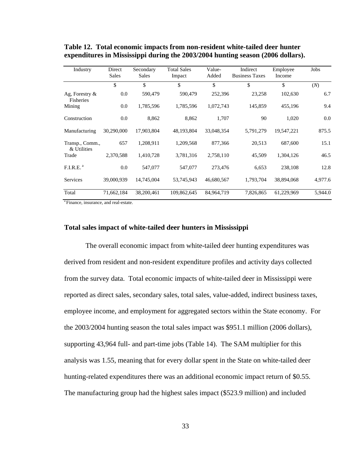| Industry                       | Direct<br><b>Sales</b> | Secondary<br><b>Sales</b> | <b>Total Sales</b><br>Impact | Value-<br>Added | Indirect<br><b>Business Taxes</b> | Employee<br>Income | Jobs    |
|--------------------------------|------------------------|---------------------------|------------------------------|-----------------|-----------------------------------|--------------------|---------|
|                                | \$                     | \$                        | \$                           | \$              | \$                                | \$                 | (N)     |
| Ag, Forestry $\&$<br>Fisheries | 0.0                    | 590,479                   | 590,479                      | 252,396         | 23,258                            | 102,630            | 6.7     |
| Mining                         | 0.0                    | 1,785,596                 | 1,785,596                    | 1,072,743       | 145,859                           | 455,196            | 9.4     |
| Construction                   | 0.0                    | 8,862                     | 8,862                        | 1,707           | 90                                | 1,020              | 0.0     |
| Manufacturing                  | 30,290,000             | 17,903,804                | 48,193,804                   | 33,048,354      | 5,791,279                         | 19,547,221         | 875.5   |
| Transp., Comm.,<br>& Utilities | 657                    | 1,208,911                 | 1,209,568                    | 877,366         | 20,513                            | 687,600            | 15.1    |
| Trade                          | 2,370,588              | 1,410,728                 | 3,781,316                    | 2,758,110       | 45,509                            | 1,304,126          | 46.5    |
| F.I.R.E. <sup>a</sup>          | 0.0                    | 547,077                   | 547,077                      | 273,476         | 6,653                             | 238,108            | 12.8    |
| Services                       | 39,000,939             | 14,745,004                | 53,745,943                   | 46,680,567      | 1,793,704                         | 38,894,068         | 4,977.6 |
| Total                          | 71,662,184             | 38,200,461                | 109,862,645                  | 84,964,719      | 7,826,865                         | 61,229,969         | 5,944.0 |

**Table 12. Total economic impacts from non-resident white-tailed deer hunter expenditures in Mississippi during the 2003/2004 hunting season (2006 dollars).** 

<sup>a</sup> Finance, insurance, and real-estate.

### **Total sales impact of white-tailed deer hunters in Mississippi**

The overall economic impact from white-tailed deer hunting expenditures was derived from resident and non-resident expenditure profiles and activity days collected from the survey data. Total economic impacts of white-tailed deer in Mississippi were reported as direct sales, secondary sales, total sales, value-added, indirect business taxes, employee income, and employment for aggregated sectors within the State economy. For the 2003/2004 hunting season the total sales impact was \$951.1 million (2006 dollars), supporting 43,964 full- and part-time jobs (Table 14). The SAM multiplier for this analysis was 1.55, meaning that for every dollar spent in the State on white-tailed deer hunting-related expenditures there was an additional economic impact return of \$0.55. The manufacturing group had the highest sales impact (\$523.9 million) and included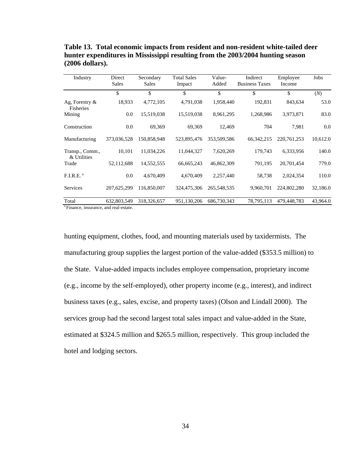| Industry                       | Direct<br>Sales | Secondary<br>Sales | <b>Total Sales</b><br>Impact | Value-<br>Added | Indirect<br><b>Business Taxes</b> | Employee<br>Income | Jobs     |
|--------------------------------|-----------------|--------------------|------------------------------|-----------------|-----------------------------------|--------------------|----------|
|                                | \$              | \$                 | \$                           | \$              | \$                                | \$                 | (N)      |
| Ag, Forestry $\&$<br>Fisheries | 18,933          | 4,772,105          | 4,791,038                    | 1,958,440       | 192,831                           | 843,634            | 53.0     |
| Mining                         | 0.0             | 15,519,038         | 15,519,038                   | 8,961,295       | 1,268,986                         | 3,973,871          | 83.0     |
| Construction                   | 0.0             | 69,369             | 69,369                       | 12,469          | 704                               | 7,981              | 0.0      |
| Manufacturing                  | 373,036,528     | 150,858,948        | 523,895,476                  | 353,509,586     | 66, 342, 215                      | 220, 761, 253      | 10,612.0 |
| Transp., Comm.,<br>& Utilities | 10,101          | 11,034,226         | 11,044,327                   | 7,620,269       | 179,743                           | 6,333,956          | 140.0    |
| Trade                          | 52,112,688      | 14,552,555         | 66,665,243                   | 46,862,309      | 791,195                           | 20,701,454         | 779.0    |
| F.I.R.E. <sup>a</sup>          | 0.0             | 4,670,409          | 4,670,409                    | 2,257,440       | 58,738                            | 2,024,354          | 110.0    |
| Services                       | 207,625,299     | 116,850,007        | 324,475,306                  | 265,548,535     | 9,960,701                         | 224,802,280        | 32,186.0 |
| Total                          | 632,803,549     | 318,326,657        | 951,130,206                  | 686,730,343     | 78,795,113                        | 479,448,783        | 43,964.0 |

**Table 13. Total economic impacts from resident and non-resident white-tailed deer hunter expenditures in Mississippi resulting from the 2003/2004 hunting season (2006 dollars).** 

<sup>a</sup> Finance, insurance, and real-estate.

hunting equipment, clothes, food, and mounting materials used by taxidermists. The manufacturing group supplies the largest portion of the value-added (\$353.5 million) to the State. Value-added impacts includes employee compensation, proprietary income (e.g., income by the self-employed), other property income (e.g., interest), and indirect business taxes (e.g., sales, excise, and property taxes) (Olson and Lindall 2000). The services group had the second largest total sales impact and value-added in the State, estimated at \$324.5 million and \$265.5 million, respectively. This group included the hotel and lodging sectors.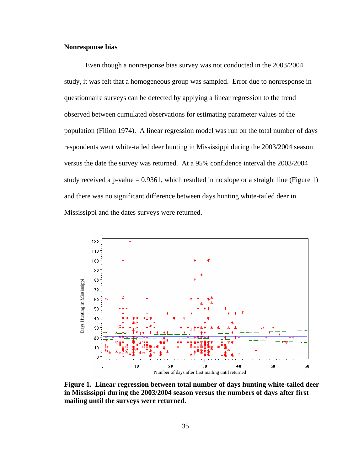### **Nonresponse bias**

Even though a nonresponse bias survey was not conducted in the 2003/2004 study, it was felt that a homogeneous group was sampled. Error due to nonresponse in questionnaire surveys can be detected by applying a linear regression to the trend observed between cumulated observations for estimating parameter values of the population (Filion 1974). A linear regression model was run on the total number of days respondents went white-tailed deer hunting in Mississippi during the 2003/2004 season versus the date the survey was returned. At a 95% confidence interval the 2003/2004 study received a p-value  $= 0.9361$ , which resulted in no slope or a straight line (Figure 1) and there was no significant difference between days hunting white-tailed deer in Mississippi and the dates surveys were returned.



**Figure 1. Linear regression between total number of days hunting white-tailed deer in Mississippi during the 2003/2004 season versus the numbers of days after first**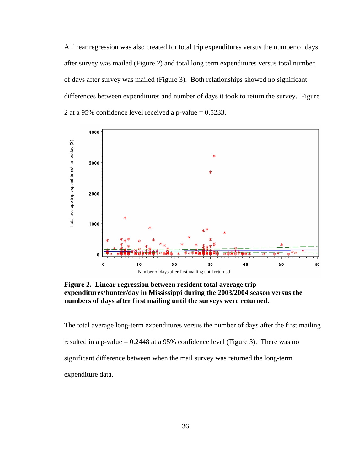A linear regression was also created for total trip expenditures versus the number of days after survey was mailed (Figure 2) and total long term expenditures versus total number of days after survey was mailed (Figure 3). Both relationships showed no significant differences between expenditures and number of days it took to return the survey. Figure 2 at a 95% confidence level received a p-value  $= 0.5233$ .



**Figure 2. Linear regression between resident total average trip expenditures/hunter/day in Mississippi during the 2003/2004 season versus the numbers of days after first mailing until the surveys were returned.**

The total average long-term expenditures versus the number of days after the first mailing resulted in a p-value  $= 0.2448$  at a 95% confidence level (Figure 3). There was no significant difference between when the mail survey was returned the long-term expenditure data.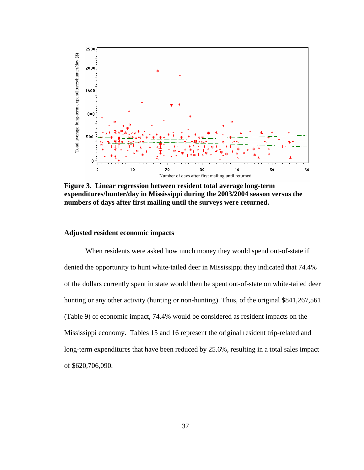

**Figure 3. Linear regression between resident total average long-term expenditures/hunter/day in Mississippi during the 2003/2004 season versus the numbers of days after first mailing until the surveys were returned.**

### **Adjusted resident economic impacts**

When residents were asked how much money they would spend out-of-state if denied the opportunity to hunt white-tailed deer in Mississippi they indicated that 74.4% of the dollars currently spent in state would then be spent out-of-state on white-tailed deer hunting or any other activity (hunting or non-hunting). Thus, of the original \$841,267,561 (Table 9) of economic impact, 74.4% would be considered as resident impacts on the Mississippi economy. Tables 15 and 16 represent the original resident trip-related and long-term expenditures that have been reduced by 25.6%, resulting in a total sales impact of \$620,706,090.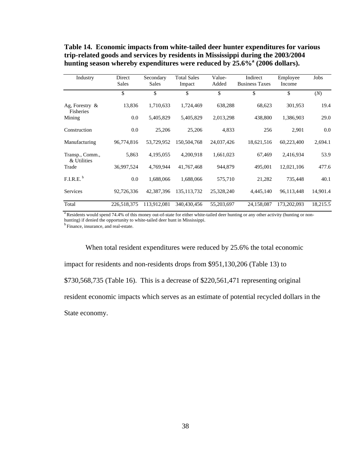| Industry                              | Direct<br><b>Sales</b> | Secondary<br><b>Sales</b> | <b>Total Sales</b><br>Impact | Value-<br>Added | Indirect<br><b>Business Taxes</b> | Employee<br>Income | Jobs     |
|---------------------------------------|------------------------|---------------------------|------------------------------|-----------------|-----------------------------------|--------------------|----------|
|                                       | \$                     | \$                        | \$                           | \$              | \$                                | \$                 | (N)      |
| Ag, Forestry $\&$<br><b>Fisheries</b> | 13,836                 | 1,710,633                 | 1,724,469                    | 638,288         | 68,623                            | 301,953            | 19.4     |
| Mining                                | 0.0                    | 5,405,829                 | 5,405,829                    | 2,013,298       | 438,800                           | 1,386,903          | 29.0     |
| Construction                          | 0.0                    | 25,206                    | 25,206                       | 4,833           | 256                               | 2,901              | 0.0      |
| Manufacturing                         | 96,774,816             | 53,729,952                | 150,504,768                  | 24,037,426      | 18,621,516                        | 60,223,400         | 2,694.1  |
| Transp., Comm.,<br>& Utilities        | 5,863                  | 4,195,055                 | 4,200,918                    | 1,661,023       | 67,469                            | 2,416,934          | 53.9     |
| Trade                                 | 36,997,524             | 4,769,944                 | 41,767,468                   | 944,879         | 495,001                           | 12,021,106         | 477.6    |
| F.I.R.E. <sup>b</sup>                 | 0.0                    | 1,688,066                 | 1,688,066                    | 575,710         | 21,282                            | 735,448            | 40.1     |
| Services                              | 92,726,336             | 42,387,396                | 135, 113, 732                | 25,328,240      | 4,445,140                         | 96,113,448         | 14,901.4 |
| Total                                 | 226.518.375            | 113,912,081               | 340,430,456                  | 55,203,697      | 24,158,087                        | 173,202,093        | 18,215.5 |

**Table 14. Economic impacts from white-tailed deer hunter expenditures for various trip-related goods and services by residents in Mississippi during the 2003/2004**  hunting season whereby expenditures were reduced by 25.6%<sup>a</sup> (2006 dollars).

<sup>a</sup> Residents would spend 74.4% of this money out-of-state for either white-tailed deer hunting or any other activity (hunting or nonhunting) if denied the opportunity to white-tailed deer hunt in Mississippi. b Finance, insurance, and real-estate.

 When total resident expenditures were reduced by 25.6% the total economic impact for residents and non-residents drops from \$951,130,206 (Table 13) to \$730,568,735 (Table 16). This is a decrease of \$220,561,471 representing original resident economic impacts which serves as an estimate of potential recycled dollars in the State economy.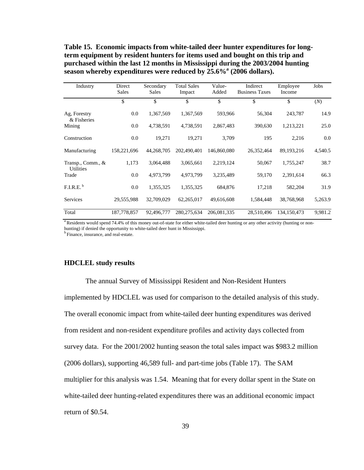**Table 15. Economic impacts from white-tailed deer hunter expenditures for longterm equipment by resident hunters for items used and bought on this trip and purchased within the last 12 months in Mississippi during the 2003/2004 hunting**  season whereby expenditures were reduced by 25.6%<sup>a</sup> (2006 dollars).

| Industry                              | Direct<br><b>Sales</b> | Secondary<br><b>Sales</b> | <b>Total Sales</b><br>Impact | Value-<br>Added | Indirect<br><b>Business Taxes</b> | Employee<br>Income | Jobs    |
|---------------------------------------|------------------------|---------------------------|------------------------------|-----------------|-----------------------------------|--------------------|---------|
|                                       | \$                     | \$                        | \$                           | \$              | \$                                | \$                 | (N)     |
| Ag, Forestry<br>& Fisheries           | 0.0                    | 1,367,569                 | 1,367,569                    | 593,966         | 56,304                            | 243,787            | 14.9    |
| Mining                                | 0.0                    | 4,738,591                 | 4,738,591                    | 2,867,483       | 390,630                           | 1,213,221          | 25.0    |
| Construction                          | 0.0                    | 19,271                    | 19,271                       | 3,709           | 195                               | 2,216              | 0.0     |
| Manufacturing                         | 158,221,696            | 44,268,705                | 202,490,401                  | 146,860,080     | 26,352,464                        | 89,193,216         | 4,540.5 |
| Transp., Comm., &<br><b>Utilities</b> | 1,173                  | 3,064,488                 | 3,065,661                    | 2,219,124       | 50,067                            | 1,755,247          | 38.7    |
| Trade                                 | 0.0                    | 4,973,799                 | 4,973,799                    | 3,235,489       | 59,170                            | 2,391,614          | 66.3    |
| F.I.R.E. <sup>b</sup>                 | 0.0                    | 1,355,325                 | 1,355,325                    | 684,876         | 17,218                            | 582,204            | 31.9    |
| Services                              | 29,555,988             | 32,709,029                | 62,265,017                   | 49,616,608      | 1,584,448                         | 38,768,968         | 5,263.9 |
| Total                                 | 187,778,857            | 92,496,777                | 280, 275, 634                | 206,081,335     | 28,510,496                        | 134, 150, 473      | 9,981.2 |

<sup>a</sup> Residents would spend 74.4% of this money out-of-state for either white-tailed deer hunting or any other activity (hunting or nonhunting) if denied the opportunity to white-tailed deer hunt in Mississippi.  $^{\rm b}$  Finance, insurance, and real-estate.

#### **HDCLEL study results**

 The annual Survey of Mississippi Resident and Non-Resident Hunters implemented by HDCLEL was used for comparison to the detailed analysis of this study. The overall economic impact from white-tailed deer hunting expenditures was derived from resident and non-resident expenditure profiles and activity days collected from survey data. For the 2001/2002 hunting season the total sales impact was \$983.2 million (2006 dollars), supporting 46,589 full- and part-time jobs (Table 17). The SAM multiplier for this analysis was 1.54. Meaning that for every dollar spent in the State on white-tailed deer hunting-related expenditures there was an additional economic impact return of \$0.54.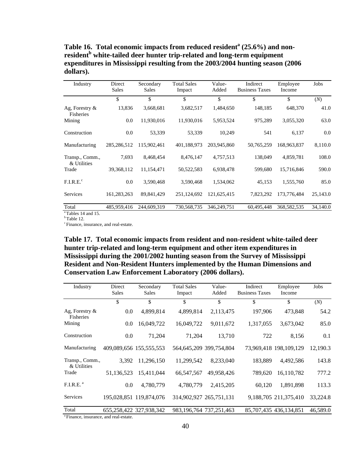Table 16. Total economic impacts from reduced resident<sup>a</sup> (25.6%) and non**resident<sup>b</sup> white-tailed deer hunter trip-related and long-term equipment expenditures in Mississippi resulting from the 2003/2004 hunting season (2006 dollars).** 

| Industry                       | Direct<br><b>Sales</b> | Secondary<br><b>Sales</b> | <b>Total Sales</b><br>Impact | Value-<br>Added | Indirect<br><b>Business Taxes</b> | Employee<br>Income | Jobs     |
|--------------------------------|------------------------|---------------------------|------------------------------|-----------------|-----------------------------------|--------------------|----------|
|                                | \$                     | \$                        | \$                           | \$              | \$                                | \$                 | (N)      |
| Ag, Forestry $\&$<br>Fisheries | 13,836                 | 3,668,681                 | 3,682,517                    | 1,484,650       | 148,185                           | 648,370            | 41.0     |
| Mining                         | 0.0                    | 11,930,016                | 11,930,016                   | 5,953,524       | 975,289                           | 3,055,320          | 63.0     |
| Construction                   | 0.0                    | 53,339                    | 53,339                       | 10,249          | 541                               | 6,137              | 0.0      |
| Manufacturing                  | 285, 286, 512          | 115,902,461               | 401,188,973                  | 203,945,860     | 50,765,259                        | 168,963,837        | 8,110.0  |
| Transp., Comm.,<br>& Utilities | 7,693                  | 8,468,454                 | 8,476,147                    | 4,757,513       | 138,049                           | 4,859,781          | 108.0    |
| Trade                          | 39, 368, 112           | 11,154,471                | 50,522,583                   | 6,938,478       | 599,680                           | 15,716,846         | 590.0    |
| F.I.R.E. <sup>c</sup>          | 0.0                    | 3,590,468                 | 3,590,468                    | 1,534,062       | 45,153                            | 1,555,760          | 85.0     |
| Services                       | 161,283,263            | 89,841,429                | 251,124,692                  | 121,625,415     | 7,823,292                         | 173,776,484        | 25,143.0 |
| Total                          | 485,959,416            | 244,609,319               | 730,568,735                  | 346,249,751     | 60,495,448                        | 368,582,535        | 34,140.0 |
| <sup>a</sup> Tables 14 and 15. |                        |                           |                              |                 |                                   |                    |          |

 $<sup>b</sup>$  Table 12.</sup>

c Finance, insurance, and real-estate.

**Table 17. Total economic impacts from resident and non-resident white-tailed deer hunter trip-related and long-term equipment and other item expenditures in Mississippi during the 2001/2002 hunting season from the Survey of Mississippi Resident and Non-Resident Hunters implemented by the Human Dimensions and Conservation Law Enforcement Laboratory (2006 dollars).** 

| Industry                       | Direct<br><b>Sales</b>  | Secondary<br><b>Sales</b> | <b>Total Sales</b><br>Impact | Value-<br>Added             | Indirect<br><b>Business Taxes</b> | Employee<br>Income     | Jobs     |
|--------------------------------|-------------------------|---------------------------|------------------------------|-----------------------------|-----------------------------------|------------------------|----------|
|                                | \$                      | \$                        | \$                           | \$                          | \$                                | \$                     | (N)      |
| Ag, Forestry $\&$<br>Fisheries | 0.0                     | 4,899,814                 | 4,899,814                    | 2,113,475                   | 197,906                           | 473,848                | 54.2     |
| Mining                         | 0.0                     | 16,049,722                | 16,049,722                   | 9,011,672                   | 1,317,055                         | 3,673,042              | 85.0     |
| Construction                   | 0.0                     | 71,204                    | 71,204                       | 13,710                      | 722                               | 8,156                  | 0.1      |
| Manufacturing                  | 409,089,656 155,555,553 |                           |                              | 564,645,209 399,754,804     |                                   | 73,969,418 198,109,129 | 12,190.3 |
| Transp., Comm.,<br>& Utilities | 3,392                   | 11.296.150                | 11,299,542                   | 8.233.040                   | 183.889                           | 4,492,586              | 143.8    |
| Trade                          | 51,136,523              | 15,411,044                | 66, 547, 567                 | 49,958,426                  | 789,620                           | 16,110,782             | 777.2    |
| F.I.R.E. <sup>a</sup>          | 0.0                     | 4,780,779                 | 4,780,779                    | 2,415,205                   | 60,120                            | 1,891,898              | 113.3    |
| Services                       |                         | 195,028,851 119,874,076   |                              | 314,902,927 265,751,131     |                                   | 9,188,705 211,375,410  | 33,224.8 |
| Total                          |                         | 655,258,422 327,938,342   |                              | 983, 196, 764 737, 251, 463 |                                   | 85,707,435 436,134,851 | 46,589.0 |

<sup>a</sup> Finance, insurance, and real-estate.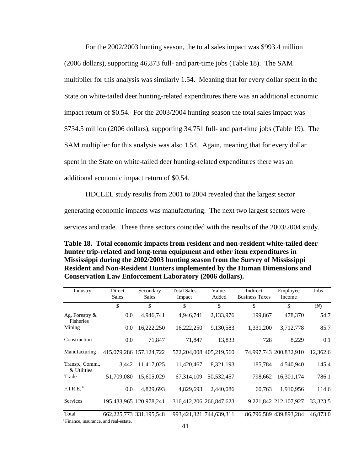For the 2002/2003 hunting season, the total sales impact was \$993.4 million (2006 dollars), supporting 46,873 full- and part-time jobs (Table 18). The SAM multiplier for this analysis was similarly 1.54. Meaning that for every dollar spent in the State on white-tailed deer hunting-related expenditures there was an additional economic impact return of \$0.54. For the 2003/2004 hunting season the total sales impact was \$734.5 million (2006 dollars), supporting 34,751 full- and part-time jobs (Table 19). The SAM multiplier for this analysis was also 1.54. Again, meaning that for every dollar spent in the State on white-tailed deer hunting-related expenditures there was an additional economic impact return of \$0.54.

 HDCLEL study results from 2001 to 2004 revealed that the largest sector generating economic impacts was manufacturing. The next two largest sectors were services and trade. These three sectors coincided with the results of the 2003/2004 study.

**Table 18. Total economic impacts from resident and non-resident white-tailed deer hunter trip-related and long-term equipment and other item expenditures in Mississippi during the 2002/2003 hunting season from the Survey of Mississippi Resident and Non-Resident Hunters implemented by the Human Dimensions and Conservation Law Enforcement Laboratory (2006 dollars).** 

| Industry                       | Direct<br><b>Sales</b> | Secondary<br>Sales      | <b>Total Sales</b><br>Impact | Value-<br>Added         | Indirect<br><b>Business Taxes</b> | Employee<br>Income     | Jobs     |
|--------------------------------|------------------------|-------------------------|------------------------------|-------------------------|-----------------------------------|------------------------|----------|
|                                | \$                     | \$                      | \$                           | \$                      | \$                                | \$                     | (N)      |
| Ag, Forestry $\&$<br>Fisheries | 0.0                    | 4,946,741               | 4,946,741                    | 2,133,976               | 199,867                           | 478,370                | 54.7     |
| Mining                         | 0.0                    | 16,222,250              | 16,222,250                   | 9,130,583               | 1,331,200                         | 3,712,778              | 85.7     |
| Construction                   | 0.0                    | 71,847                  | 71,847                       | 13,833                  | 728                               | 8,229                  | 0.1      |
| Manufacturing                  |                        | 415,079,286 157,124,722 |                              | 572,204,008 405,219,560 |                                   | 74,997,743 200,832,910 | 12,362.6 |
| Transp., Comm.,<br>& Utilities | 3,442                  | 11,417,025              | 11,420,467                   | 8,321,193               | 185,784                           | 4,540,940              | 145.4    |
| Trade                          | 51,709,080             | 15,605,029              | 67, 314, 109                 | 50,532,457              | 798,662                           | 16,301,174             | 786.1    |
| F.I.R.E. <sup>a</sup>          | 0.0                    | 4,829,693               | 4,829,693                    | 2,440,086               | 60,763                            | 1,910,956              | 114.6    |
| Services                       |                        | 195,433,965 120,978,241 |                              | 316,412,206 266,847,623 |                                   | 9,221,842 212,107,927  | 33,323.5 |
| Total                          |                        | 662.225.773 331.195.548 |                              | 993,421,321 744,639,311 |                                   | 86,796,589 439,893,284 | 46,873.0 |

Finance, insurance, and real-estate.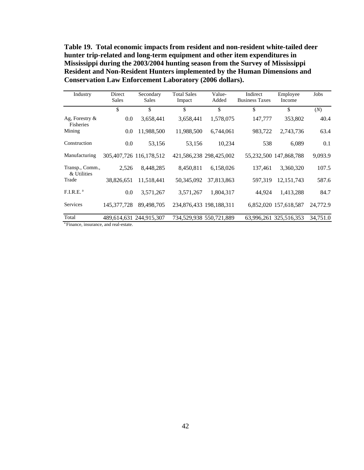**Table 19. Total economic impacts from resident and non-resident white-tailed deer hunter trip-related and long-term equipment and other item expenditures in Mississippi during the 2003/2004 hunting season from the Survey of Mississippi Resident and Non-Resident Hunters implemented by the Human Dimensions and Conservation Law Enforcement Laboratory (2006 dollars).** 

| Industry                                       | Direct<br><b>Sales</b> | Secondary<br>Sales      | <b>Total Sales</b><br>Impact | Value-<br>Added         | Indirect<br><b>Business Taxes</b> | Employee<br>Income     | Jobs     |
|------------------------------------------------|------------------------|-------------------------|------------------------------|-------------------------|-----------------------------------|------------------------|----------|
|                                                | \$                     | \$                      | \$                           | \$                      | \$                                | \$                     | (N)      |
| Ag, Forestry $\&$<br>Fisheries                 | 0.0                    | 3,658,441               | 3,658,441                    | 1,578,075               | 147,777                           | 353,802                | 40.4     |
| Mining                                         | 0.0                    | 11,988,500              | 11,988,500                   | 6,744,061               | 983,722                           | 2,743,736              | 63.4     |
| Construction                                   | 0.0                    | 53,156                  | 53,156                       | 10,234                  | 538                               | 6,089                  | 0.1      |
| Manufacturing                                  |                        | 305,407,726 116,178,512 |                              | 421,586,238 298,425,002 |                                   | 55,232,500 147,868,788 | 9,093.9  |
| Transp., Comm.,<br>& Utilities                 | 2,526                  | 8,448,285               | 8,450,811                    | 6,158,026               | 137,461                           | 3,360,320              | 107.5    |
| Trade                                          | 38,826,651             | 11,518,441              | 50,345,092                   | 37,813,863              | 597,319                           | 12, 151, 743           | 587.6    |
| F.I.R.E. <sup>a</sup>                          | 0.0                    | 3,571,267               | 3,571,267                    | 1,804,317               | 44,924                            | 1,413,288              | 84.7     |
| Services                                       | 145, 377, 728          | 89,498,705              |                              | 234,876,433 198,188,311 |                                   | 6,852,020 157,618,587  | 24,772.9 |
| Total                                          |                        | 489,614,631 244,915,307 |                              | 734,529,938 550,721,889 |                                   | 63,996,261 325,516,353 | 34,751.0 |
| <sup>a</sup> Finance incurance and real ectate |                        |                         |                              |                         |                                   |                        |          |

a Finance, insurance, and real-estate.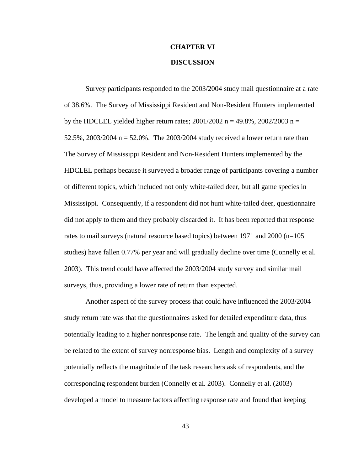# **CHAPTER VI**

# **DISCUSSION**

Survey participants responded to the 2003/2004 study mail questionnaire at a rate of 38.6%. The Survey of Mississippi Resident and Non-Resident Hunters implemented by the HDCLEL yielded higher return rates;  $2001/2002$  n = 49.8%,  $2002/2003$  n = 52.5%, 2003/2004  $n = 52.0$ %. The 2003/2004 study received a lower return rate than The Survey of Mississippi Resident and Non-Resident Hunters implemented by the HDCLEL perhaps because it surveyed a broader range of participants covering a number of different topics, which included not only white-tailed deer, but all game species in Mississippi. Consequently, if a respondent did not hunt white-tailed deer, questionnaire did not apply to them and they probably discarded it. It has been reported that response rates to mail surveys (natural resource based topics) between 1971 and 2000 (n=105 studies) have fallen 0.77% per year and will gradually decline over time (Connelly et al. 2003). This trend could have affected the 2003/2004 study survey and similar mail surveys, thus, providing a lower rate of return than expected.

Another aspect of the survey process that could have influenced the 2003/2004 study return rate was that the questionnaires asked for detailed expenditure data, thus potentially leading to a higher nonresponse rate. The length and quality of the survey can be related to the extent of survey nonresponse bias. Length and complexity of a survey potentially reflects the magnitude of the task researchers ask of respondents, and the corresponding respondent burden (Connelly et al. 2003). Connelly et al. (2003) developed a model to measure factors affecting response rate and found that keeping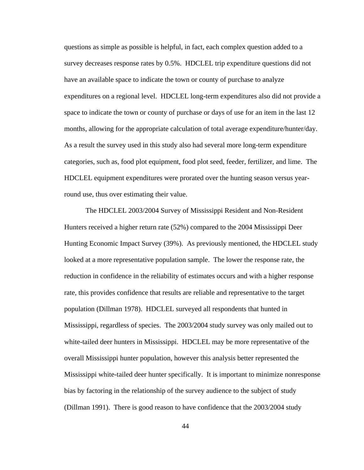questions as simple as possible is helpful, in fact, each complex question added to a survey decreases response rates by 0.5%. HDCLEL trip expenditure questions did not have an available space to indicate the town or county of purchase to analyze expenditures on a regional level. HDCLEL long-term expenditures also did not provide a space to indicate the town or county of purchase or days of use for an item in the last 12 months, allowing for the appropriate calculation of total average expenditure/hunter/day. As a result the survey used in this study also had several more long-term expenditure categories, such as, food plot equipment, food plot seed, feeder, fertilizer, and lime. The HDCLEL equipment expenditures were prorated over the hunting season versus yearround use, thus over estimating their value.

The HDCLEL 2003/2004 Survey of Mississippi Resident and Non-Resident Hunters received a higher return rate (52%) compared to the 2004 Mississippi Deer Hunting Economic Impact Survey (39%). As previously mentioned, the HDCLEL study looked at a more representative population sample. The lower the response rate, the reduction in confidence in the reliability of estimates occurs and with a higher response rate, this provides confidence that results are reliable and representative to the target population (Dillman 1978). HDCLEL surveyed all respondents that hunted in Mississippi, regardless of species. The 2003/2004 study survey was only mailed out to white-tailed deer hunters in Mississippi. HDCLEL may be more representative of the overall Mississippi hunter population, however this analysis better represented the Mississippi white-tailed deer hunter specifically. It is important to minimize nonresponse bias by factoring in the relationship of the survey audience to the subject of study (Dillman 1991). There is good reason to have confidence that the 2003/2004 study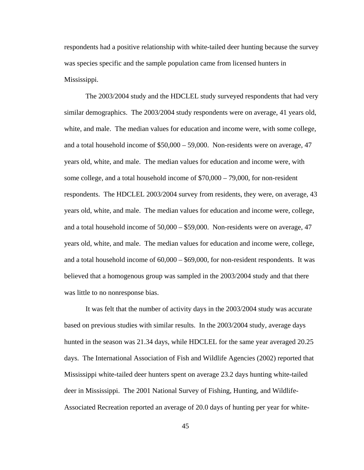respondents had a positive relationship with white-tailed deer hunting because the survey was species specific and the sample population came from licensed hunters in Mississippi.

The 2003/2004 study and the HDCLEL study surveyed respondents that had very similar demographics. The 2003/2004 study respondents were on average, 41 years old, white, and male. The median values for education and income were, with some college, and a total household income of \$50,000 – 59,000. Non-residents were on average, 47 years old, white, and male. The median values for education and income were, with some college, and a total household income of \$70,000 – 79,000, for non-resident respondents. The HDCLEL 2003/2004 survey from residents, they were, on average, 43 years old, white, and male. The median values for education and income were, college, and a total household income of 50,000 – \$59,000. Non-residents were on average, 47 years old, white, and male. The median values for education and income were, college, and a total household income of 60,000 – \$69,000, for non-resident respondents. It was believed that a homogenous group was sampled in the 2003/2004 study and that there was little to no nonresponse bias.

It was felt that the number of activity days in the 2003/2004 study was accurate based on previous studies with similar results. In the 2003/2004 study, average days hunted in the season was 21.34 days, while HDCLEL for the same year averaged 20.25 days. The International Association of Fish and Wildlife Agencies (2002) reported that Mississippi white-tailed deer hunters spent on average 23.2 days hunting white-tailed deer in Mississippi. The 2001 National Survey of Fishing, Hunting, and Wildlife-Associated Recreation reported an average of 20.0 days of hunting per year for white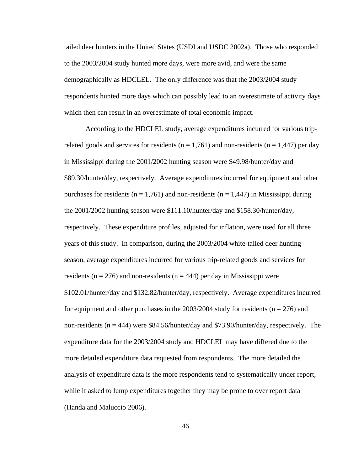tailed deer hunters in the United States (USDI and USDC 2002a). Those who responded to the 2003/2004 study hunted more days, were more avid, and were the same demographically as HDCLEL. The only difference was that the 2003/2004 study respondents hunted more days which can possibly lead to an overestimate of activity days which then can result in an overestimate of total economic impact.

According to the HDCLEL study, average expenditures incurred for various triprelated goods and services for residents ( $n = 1,761$ ) and non-residents ( $n = 1,447$ ) per day in Mississippi during the 2001/2002 hunting season were \$49.98/hunter/day and \$89.30/hunter/day, respectively. Average expenditures incurred for equipment and other purchases for residents ( $n = 1,761$ ) and non-residents ( $n = 1,447$ ) in Mississippi during the 2001/2002 hunting season were \$111.10/hunter/day and \$158.30/hunter/day, respectively. These expenditure profiles, adjusted for inflation, were used for all three years of this study. In comparison, during the 2003/2004 white-tailed deer hunting season, average expenditures incurred for various trip-related goods and services for residents ( $n = 276$ ) and non-residents ( $n = 444$ ) per day in Mississippi were \$102.01/hunter/day and \$132.82/hunter/day, respectively. Average expenditures incurred for equipment and other purchases in the  $2003/2004$  study for residents (n = 276) and non-residents ( $n = 444$ ) were \$84.56/hunter/day and \$73.90/hunter/day, respectively. The expenditure data for the 2003/2004 study and HDCLEL may have differed due to the more detailed expenditure data requested from respondents. The more detailed the analysis of expenditure data is the more respondents tend to systematically under report, while if asked to lump expenditures together they may be prone to over report data (Handa and Maluccio 2006).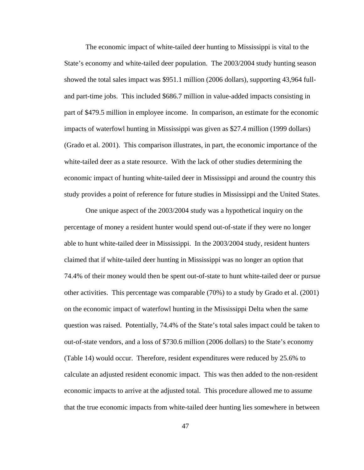The economic impact of white-tailed deer hunting to Mississippi is vital to the State's economy and white-tailed deer population. The 2003/2004 study hunting season showed the total sales impact was \$951.1 million (2006 dollars), supporting 43,964 fulland part-time jobs. This included \$686.7 million in value-added impacts consisting in part of \$479.5 million in employee income. In comparison, an estimate for the economic impacts of waterfowl hunting in Mississippi was given as \$27.4 million (1999 dollars) (Grado et al. 2001). This comparison illustrates, in part, the economic importance of the white-tailed deer as a state resource. With the lack of other studies determining the economic impact of hunting white-tailed deer in Mississippi and around the country this study provides a point of reference for future studies in Mississippi and the United States.

One unique aspect of the 2003/2004 study was a hypothetical inquiry on the percentage of money a resident hunter would spend out-of-state if they were no longer able to hunt white-tailed deer in Mississippi. In the 2003/2004 study, resident hunters claimed that if white-tailed deer hunting in Mississippi was no longer an option that 74.4% of their money would then be spent out-of-state to hunt white-tailed deer or pursue other activities. This percentage was comparable (70%) to a study by Grado et al. (2001) on the economic impact of waterfowl hunting in the Mississippi Delta when the same question was raised. Potentially, 74.4% of the State's total sales impact could be taken to out-of-state vendors, and a loss of \$730.6 million (2006 dollars) to the State's economy (Table 14) would occur. Therefore, resident expenditures were reduced by 25.6% to calculate an adjusted resident economic impact. This was then added to the non-resident economic impacts to arrive at the adjusted total. This procedure allowed me to assume that the true economic impacts from white-tailed deer hunting lies somewhere in between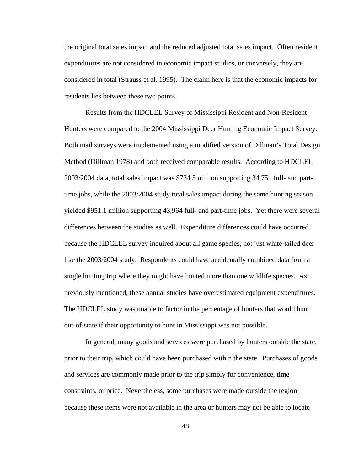the original total sales impact and the reduced adjusted total sales impact. Often resident expenditures are not considered in economic impact studies, or conversely, they are considered in total (Strauss et al. 1995). The claim here is that the economic impacts for residents lies between these two points.

Results from the HDCLEL Survey of Mississippi Resident and Non-Resident Hunters were compared to the 2004 Mississippi Deer Hunting Economic Impact Survey. Both mail surveys were implemented using a modified version of Dillman's Total Design Method (Dillman 1978) and both received comparable results. According to HDCLEL 2003/2004 data, total sales impact was \$734.5 million supporting 34,751 full- and parttime jobs, while the 2003/2004 study total sales impact during the same hunting season yielded \$951.1 million supporting 43,964 full- and part-time jobs. Yet there were several differences between the studies as well. Expenditure differences could have occurred because the HDCLEL survey inquired about all game species, not just white-tailed deer like the 2003/2004 study. Respondents could have accidentally combined data from a single hunting trip where they might have hunted more than one wildlife species. As previously mentioned, these annual studies have overestimated equipment expenditures. The HDCLEL study was unable to factor in the percentage of hunters that would hunt out-of-state if their opportunity to hunt in Mississippi was not possible.

In general, many goods and services were purchased by hunters outside the state, prior to their trip, which could have been purchased within the state. Purchases of goods and services are commonly made prior to the trip simply for convenience, time constraints, or price. Nevertheless, some purchases were made outside the region because these items were not available in the area or hunters may not be able to locate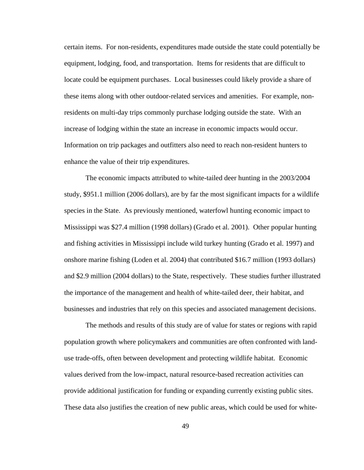certain items. For non-residents, expenditures made outside the state could potentially be equipment, lodging, food, and transportation. Items for residents that are difficult to locate could be equipment purchases. Local businesses could likely provide a share of these items along with other outdoor-related services and amenities. For example, nonresidents on multi-day trips commonly purchase lodging outside the state. With an increase of lodging within the state an increase in economic impacts would occur. Information on trip packages and outfitters also need to reach non-resident hunters to enhance the value of their trip expenditures.

The economic impacts attributed to white-tailed deer hunting in the 2003/2004 study, \$951.1 million (2006 dollars), are by far the most significant impacts for a wildlife species in the State. As previously mentioned, waterfowl hunting economic impact to Mississippi was \$27.4 million (1998 dollars) (Grado et al. 2001). Other popular hunting and fishing activities in Mississippi include wild turkey hunting (Grado et al. 1997) and onshore marine fishing (Loden et al. 2004) that contributed \$16.7 million (1993 dollars) and \$2.9 million (2004 dollars) to the State, respectively. These studies further illustrated the importance of the management and health of white-tailed deer, their habitat, and businesses and industries that rely on this species and associated management decisions.

The methods and results of this study are of value for states or regions with rapid population growth where policymakers and communities are often confronted with landuse trade-offs, often between development and protecting wildlife habitat. Economic values derived from the low-impact, natural resource-based recreation activities can provide additional justification for funding or expanding currently existing public sites. These data also justifies the creation of new public areas, which could be used for white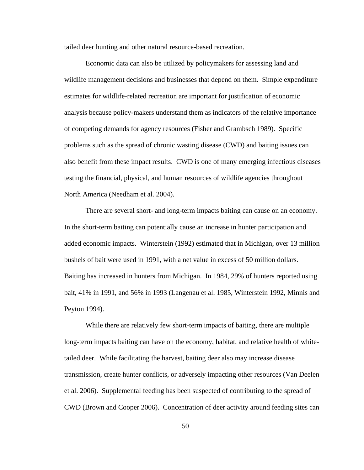tailed deer hunting and other natural resource-based recreation.

Economic data can also be utilized by policymakers for assessing land and wildlife management decisions and businesses that depend on them. Simple expenditure estimates for wildlife-related recreation are important for justification of economic analysis because policy-makers understand them as indicators of the relative importance of competing demands for agency resources (Fisher and Grambsch 1989). Specific problems such as the spread of chronic wasting disease (CWD) and baiting issues can also benefit from these impact results. CWD is one of many emerging infectious diseases testing the financial, physical, and human resources of wildlife agencies throughout North America (Needham et al. 2004).

There are several short- and long-term impacts baiting can cause on an economy. In the short-term baiting can potentially cause an increase in hunter participation and added economic impacts. Winterstein (1992) estimated that in Michigan, over 13 million bushels of bait were used in 1991, with a net value in excess of 50 million dollars. Baiting has increased in hunters from Michigan. In 1984, 29% of hunters reported using bait, 41% in 1991, and 56% in 1993 (Langenau et al. 1985, Winterstein 1992, Minnis and Peyton 1994).

While there are relatively few short-term impacts of baiting, there are multiple long-term impacts baiting can have on the economy, habitat, and relative health of whitetailed deer. While facilitating the harvest, baiting deer also may increase disease transmission, create hunter conflicts, or adversely impacting other resources (Van Deelen et al. 2006). Supplemental feeding has been suspected of contributing to the spread of CWD (Brown and Cooper 2006). Concentration of deer activity around feeding sites can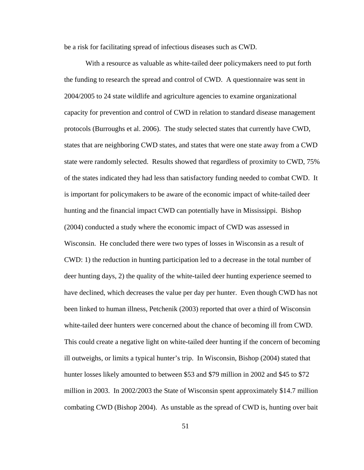be a risk for facilitating spread of infectious diseases such as CWD.

With a resource as valuable as white-tailed deer policymakers need to put forth the funding to research the spread and control of CWD. A questionnaire was sent in 2004/2005 to 24 state wildlife and agriculture agencies to examine organizational capacity for prevention and control of CWD in relation to standard disease management protocols (Burroughs et al. 2006). The study selected states that currently have CWD, states that are neighboring CWD states, and states that were one state away from a CWD state were randomly selected. Results showed that regardless of proximity to CWD, 75% of the states indicated they had less than satisfactory funding needed to combat CWD. It is important for policymakers to be aware of the economic impact of white-tailed deer hunting and the financial impact CWD can potentially have in Mississippi. Bishop (2004) conducted a study where the economic impact of CWD was assessed in Wisconsin. He concluded there were two types of losses in Wisconsin as a result of CWD: 1) the reduction in hunting participation led to a decrease in the total number of deer hunting days, 2) the quality of the white-tailed deer hunting experience seemed to have declined, which decreases the value per day per hunter. Even though CWD has not been linked to human illness, Petchenik (2003) reported that over a third of Wisconsin white-tailed deer hunters were concerned about the chance of becoming ill from CWD. This could create a negative light on white-tailed deer hunting if the concern of becoming ill outweighs, or limits a typical hunter's trip. In Wisconsin, Bishop (2004) stated that hunter losses likely amounted to between \$53 and \$79 million in 2002 and \$45 to \$72 million in 2003. In 2002/2003 the State of Wisconsin spent approximately \$14.7 million combating CWD (Bishop 2004). As unstable as the spread of CWD is, hunting over bait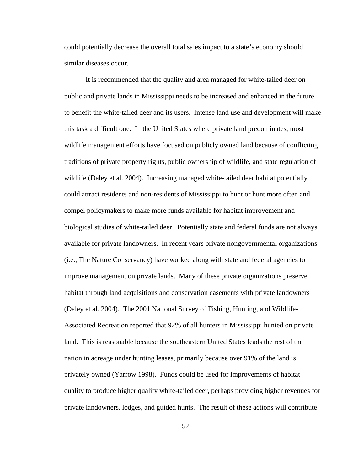could potentially decrease the overall total sales impact to a state's economy should similar diseases occur.

It is recommended that the quality and area managed for white-tailed deer on public and private lands in Mississippi needs to be increased and enhanced in the future to benefit the white-tailed deer and its users. Intense land use and development will make this task a difficult one. In the United States where private land predominates, most wildlife management efforts have focused on publicly owned land because of conflicting traditions of private property rights, public ownership of wildlife, and state regulation of wildlife (Daley et al. 2004). Increasing managed white-tailed deer habitat potentially could attract residents and non-residents of Mississippi to hunt or hunt more often and compel policymakers to make more funds available for habitat improvement and biological studies of white-tailed deer. Potentially state and federal funds are not always available for private landowners. In recent years private nongovernmental organizations (i.e., The Nature Conservancy) have worked along with state and federal agencies to improve management on private lands. Many of these private organizations preserve habitat through land acquisitions and conservation easements with private landowners (Daley et al. 2004). The 2001 National Survey of Fishing, Hunting, and Wildlife-Associated Recreation reported that 92% of all hunters in Mississippi hunted on private land. This is reasonable because the southeastern United States leads the rest of the nation in acreage under hunting leases, primarily because over 91% of the land is privately owned (Yarrow 1998). Funds could be used for improvements of habitat quality to produce higher quality white-tailed deer, perhaps providing higher revenues for private landowners, lodges, and guided hunts. The result of these actions will contribute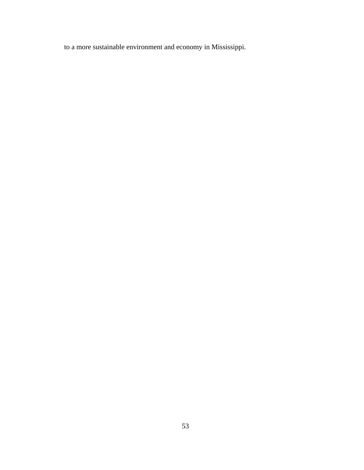to a more sustainable environment and economy in Mississippi.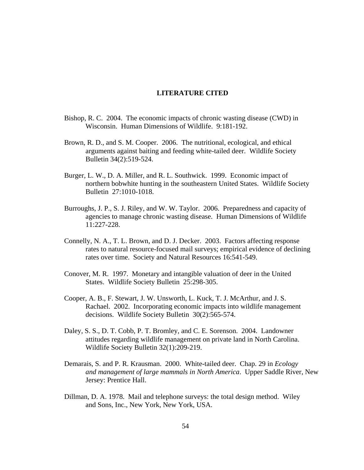### **LITERATURE CITED**

- Bishop, R. C. 2004. The economic impacts of chronic wasting disease (CWD) in Wisconsin. Human Dimensions of Wildlife. 9:181-192.
- Brown, R. D., and S. M. Cooper. 2006. The nutritional, ecological, and ethical arguments against baiting and feeding white-tailed deer. Wildlife Society Bulletin 34(2):519-524.
- Burger, L. W., D. A. Miller, and R. L. Southwick. 1999. Economic impact of northern bobwhite hunting in the southeastern United States. Wildlife Society Bulletin27:1010-1018.
- Burroughs, J. P., S. J. Riley, and W. W. Taylor. 2006. Preparedness and capacity of agencies to manage chronic wasting disease. Human Dimensions of Wildlife 11:227-228.
- Connelly, N. A., T. L. Brown, and D. J. Decker. 2003. Factors affecting response rates to natural resource-focused mail surveys; empirical evidence of declining rates over time. Society and Natural Resources 16:541-549.
- Conover, M. R. 1997.Monetary and intangible valuation of deer in the United States. Wildlife Society Bulletin 25:298-305.
- Cooper, A. B., F. Stewart, J. W. Unsworth, L. Kuck, T. J. McArthur, and J. S. Rachael. 2002. Incorporating economic impacts into wildlife management decisions. Wildlife Society Bulletin 30(2):565-574.
- Daley, S. S., D. T. Cobb, P. T. Bromley, and C. E. Sorenson. 2004. Landowner attitudes regarding wildlife management on private land in North Carolina. Wildlife Society Bulletin 32(1):209-219.
- Demarais, S. and P. R. Krausman. 2000. White-tailed deer. Chap. 29 in *Ecology and management of large mammals in North America*. Upper Saddle River, New Jersey: Prentice Hall.
- Dillman, D. A. 1978. Mail and telephone surveys: the total design method. Wiley and Sons, Inc., New York, New York, USA.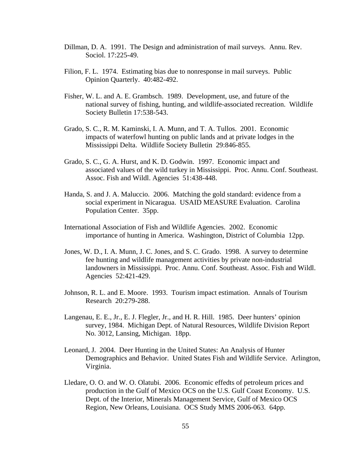- Dillman, D. A. 1991. The Design and administration of mail surveys. Annu. Rev. Sociol. 17:225-49.
- Filion, F. L. 1974. Estimating bias due to nonresponse in mail surveys. Public Opinion Quarterly. 40:482-492.
- Fisher, W. L. and A. E. Grambsch. 1989. Development, use, and future of the national survey of fishing, hunting, and wildlife-associated recreation. Wildlife Society Bulletin 17:538-543.
- Grado, S. C., R. M. Kaminski, I. A. Munn, and T. A. Tullos. 2001. Economic impacts of waterfowl hunting on public lands and at private lodges in the Mississippi Delta. Wildlife Society Bulletin 29:846-855.
- Grado, S. C., G. A. Hurst, and K. D. Godwin. 1997. Economic impact and associated values of the wild turkey in Mississippi. Proc. Annu. Conf. Southeast. Assoc. Fish and Wildl. Agencies 51:438-448.
- Handa, S. and J. A. Maluccio. 2006. Matching the gold standard: evidence from a social experiment in Nicaragua. USAID MEASURE Evaluation. Carolina Population Center. 35pp.
- International Association of Fish and Wildlife Agencies. 2002. Economic importance of hunting in America. Washington, District of Columbia 12pp.
- Jones, W. D., I. A. Munn, J. C. Jones, and S. C. Grado. 1998. A survey to determine fee hunting and wildlife management activities by private non-industrial landowners in Mississippi. Proc. Annu. Conf. Southeast. Assoc. Fish and Wildl. Agencies 52:421-429.
- Johnson, R. L. and E. Moore. 1993. Tourism impact estimation. Annals of Tourism Research 20:279-288.
- Langenau, E. E., Jr., E. J. Flegler, Jr., and H. R. Hill. 1985. Deer hunters' opinion survey, 1984. Michigan Dept. of Natural Resources, Wildlife Division Report No. 3012, Lansing, Michigan. 18pp.
- Leonard, J. 2004. Deer Hunting in the United States: An Analysis of Hunter Demographics and Behavior. United States Fish and Wildlife Service. Arlington, Virginia.
- Lledare, O. O. and W. O. Olatubi. 2006. Economic effedts of petroleum prices and production in the Gulf of Mexico OCS on the U.S. Gulf Coast Economy. U.S. Dept. of the Interior, Minerals Management Service, Gulf of Mexico OCS Region, New Orleans, Louisiana. OCS Study MMS 2006-063. 64pp.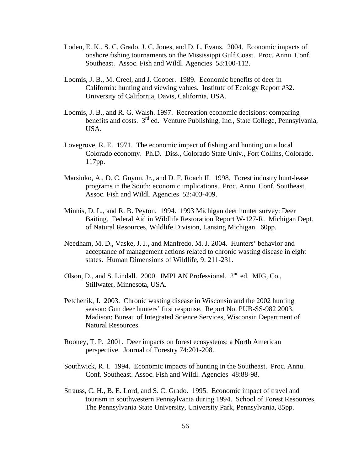- Loden, E. K., S. C. Grado, J. C. Jones, and D. L. Evans. 2004. Economic impacts of onshore fishing tournaments on the Mississippi Gulf Coast. Proc. Annu. Conf. Southeast. Assoc. Fish and Wildl. Agencies 58:100-112.
- Loomis, J. B., M. Creel, and J. Cooper. 1989. Economic benefits of deer in California: hunting and viewing values. Institute of Ecology Report #32. University of California, Davis, California, USA.
- Loomis, J. B., and R. G. Walsh. 1997. Recreation economic decisions: comparing benefits and costs. 3<sup>rd</sup> ed. Venture Publishing, Inc., State College, Pennsylvania, USA.
- Lovegrove, R. E. 1971. The economic impact of fishing and hunting on a local Colorado economy. Ph.D. Diss., Colorado State Univ., Fort Collins, Colorado. 117pp.
- Marsinko, A., D. C. Guynn, Jr., and D. F. Roach II. 1998. Forest industry hunt-lease programs in the South: economic implications. Proc. Annu. Conf. Southeast. Assoc. Fish and Wildl. Agencies 52:403-409.
- Minnis, D. L., and R. B. Peyton. 1994. 1993 Michigan deer hunter survey: Deer Baiting. Federal Aid in Wildlife Restoration Report W-127-R. Michigan Dept. of Natural Resources, Wildlife Division, Lansing Michigan. 60pp.
- Needham, M. D., Vaske, J. J., and Manfredo, M. J. 2004. Hunters' behavior and acceptance of management actions related to chronic wasting disease in eight states. Human Dimensions of Wildlife, 9: 211-231.
- Olson, D., and S. Lindall. 2000. IMPLAN Professional.  $2<sup>nd</sup>$  ed. MIG, Co., Stillwater, Minnesota, USA.
- Petchenik, J. 2003. Chronic wasting disease in Wisconsin and the 2002 hunting season: Gun deer hunters' first response. Report No. PUB-SS-982 2003. Madison: Bureau of Integrated Science Services, Wisconsin Department of Natural Resources.
- Rooney, T. P. 2001. Deer impacts on forest ecosystems: a North American perspective. Journal of Forestry 74:201-208.
- Southwick, R. I. 1994. Economic impacts of hunting in the Southeast. Proc. Annu. Conf. Southeast. Assoc. Fish and Wildl. Agencies 48:88-98.
- Strauss, C. H., B. E. Lord, and S. C. Grado. 1995. Economic impact of travel and tourism in southwestern Pennsylvania during 1994. School of Forest Resources, The Pennsylvania State University, University Park, Pennsylvania, 85pp.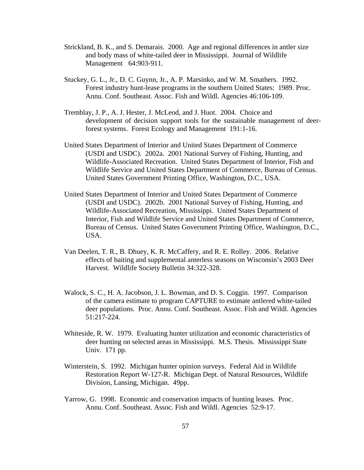- Strickland, B. K., and S. Demarais. 2000. Age and regional differences in antler size and body mass of white-tailed deer in Mississippi. Journal of Wildlife Management 64:903-911.
- Stuckey, G. L., Jr., D. C. Guynn, Jr., A. P. Marsinko, and W. M. Smathers. 1992. Forest industry hunt-lease programs in the southern United States: 1989. Proc. Annu. Conf. Southeast. Assoc. Fish and Wildl. Agencies 46:106-109.
- Tremblay, J. P., A. J. Hester, J. McLeod, and J. Huot. 2004. Choice and development of decision support tools for the sustainable management of deerforest systems. Forest Ecology and Management 191:1-16.
- United States Department of Interior and United States Department of Commerce (USDI and USDC). 2002a. 2001 National Survey of Fishing, Hunting, and Wildlife-Associated Recreation. United States Department of Interior, Fish and Wildlife Service and United States Department of Commerce, Bureau of Census. United States Government Printing Office, Washington, D.C., USA.
- United States Department of Interior and United States Department of Commerce (USDI and USDC). 2002b. 2001 National Survey of Fishing, Hunting, and Wildlife-Associated Recreation, Mississippi. United States Department of Interior, Fish and Wildlife Service and United States Department of Commerce, Bureau of Census. United States Government Printing Office, Washington, D.C., USA.
- Van Deelen, T. R., B. Dhuey, K. R. McCaffery, and R. E. Rolley. 2006. Relative effects of baiting and supplemental anterless seasons on Wisconsin's 2003 Deer Harvest. Wildlife Society Bulletin 34:322-328.
- Walock, S. C., H. A. Jacobson, J. L. Bowman, and D. S. Coggin. 1997. Comparison of the camera estimate to program CAPTURE to estimate antlered white-tailed deer populations. Proc. Annu. Conf. Southeast. Assoc. Fish and Wildl. Agencies 51:217-224.
- Whiteside, R. W. 1979. Evaluating hunter utilization and economic characteristics of deer hunting on selected areas in Mississippi. M.S. Thesis. Mississippi State Univ. 171 pp.
- Winterstein, S. 1992. Michigan hunter opinion surveys. Federal Aid in Wildlife Restoration Report W-127-R. Michigan Dept. of Natural Resources, Wildlife Division, Lansing, Michigan. 49pp.
- Yarrow, G. 1998. Economic and conservation impacts of hunting leases. Proc. Annu. Conf. Southeast. Assoc. Fish and Wildl. Agencies 52:9-17.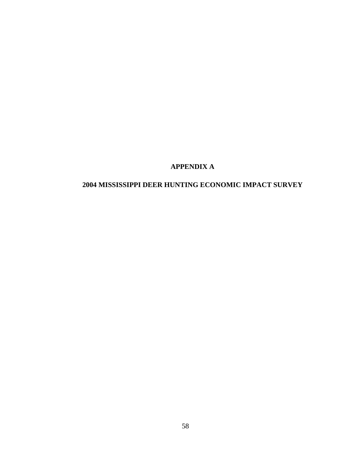# **APPENDIX A**

# **2004 MISSISSIPPI DEER HUNTING ECONOMIC IMPACT SURVEY**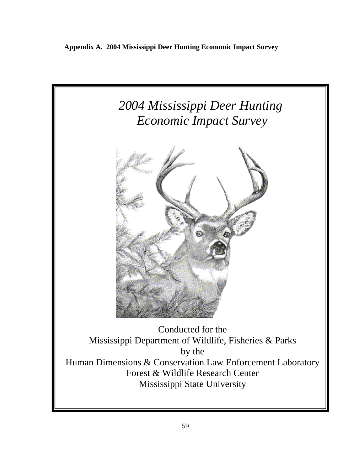**Appendix A. 2004 Mississippi Deer Hunting Economic Impact Survey** 

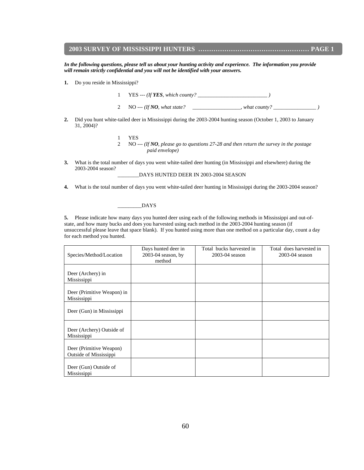### **2003 SURVEY OF MISSISSIPPI HUNTERS …………………………………………… PAGE 1**

*In the following questions, please tell us about your hunting activity and experience. The information you provide will remain strictly confidential and you will not be identified with your answers.* 

**1.** Do you reside in Mississippi?

1 YES --- *(If YES, which county? \_\_\_\_\_\_\_\_\_\_\_\_\_\_\_\_\_\_\_\_\_\_\_\_\_\_ )*

- 2 NO --- *(If NO, what state? \_\_\_\_\_\_\_\_\_\_\_\_\_\_\_\_\_\_, what county? \_\_\_\_\_\_\_\_\_\_\_\_\_\_\_\_ )*
- **2.** Did you hunt white-tailed deer in Mississippi during the 2003-2004 hunting season (October 1, 2003 to January 31, 2004)?
	- 1 YES 2 NO --- *(If NO, please go to questions 27-28 and then return the survey in the postage paid envelope)*
- **3.** What is the total number of days you went white-tailed deer hunting (in Mississippi and elsewhere) during the 2003-2004 season?

\_\_\_\_\_\_\_\_DAYS HUNTED DEER IN 2003-2004 SEASON

**4.** What is the total number of days you went white-tailed deer hunting in Mississippi during the 2003-2004 season?

### \_\_\_\_\_\_\_\_\_DAYS

**5.** Please indicate how many days you hunted deer using each of the following methods in Mississippi and out-ofstate, and how many bucks and does you harvested using each method in the 2003-2004 hunting season (if unsuccessful please leave that space blank). If you hunted using more than one method on a particular day, count a day for each method you hunted.

| Species/Method/Location                           | Days hunted deer in<br>$2003-04$ season, by<br>method | Total bucks harvested in<br>2003-04 season | Total does harvested in<br>2003-04 season |
|---------------------------------------------------|-------------------------------------------------------|--------------------------------------------|-------------------------------------------|
| Deer (Archery) in<br>Mississippi                  |                                                       |                                            |                                           |
| Deer (Primitive Weapon) in<br>Mississippi         |                                                       |                                            |                                           |
| Deer (Gun) in Mississippi                         |                                                       |                                            |                                           |
| Deer (Archery) Outside of<br>Mississippi          |                                                       |                                            |                                           |
| Deer (Primitive Weapon)<br>Outside of Mississippi |                                                       |                                            |                                           |
| Deer (Gun) Outside of<br>Mississippi              |                                                       |                                            |                                           |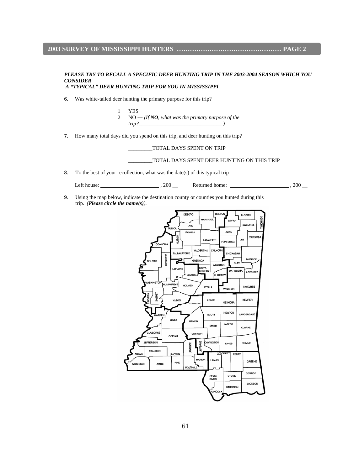### **2003 SURVEY OF MISSISSIPPI HUNTERS ………………………………………… PAGE 2**

#### *PLEASE TRY TO RECALL A SPECIFIC DEER HUNTING TRIP IN THE 2003-2004 SEASON WHICH YOU CONSIDER A "TYPICAL" DEER HUNTING TRIP FOR YOU IN MISSISSIPPI.*

- **6**. Was white-tailed deer hunting the primary purpose for this trip?
	- 1 YES 2 NO --- *(If NO, what was the primary purpose of the trip?\_\_\_\_\_\_\_\_\_\_\_\_\_\_\_\_\_\_\_\_\_\_\_\_\_\_\_\_\_\_\_ )*
- **7**. How many total days did you spend on this trip, and deer hunting on this trip?

\_\_\_\_\_\_\_\_\_TOTAL DAYS SPENT ON TRIP

#### \_\_\_\_\_\_\_\_\_TOTAL DAYS SPENT DEER HUNTING ON THIS TRIP

**8**. To the best of your recollection, what was the date(s) of this typical trip

Left house: , 200 \_\_ Returned home: , 200 \_\_

**9**. Using the map below, indicate the destination county or counties you hunted during this trip. *(Please circle the name(s)).* 

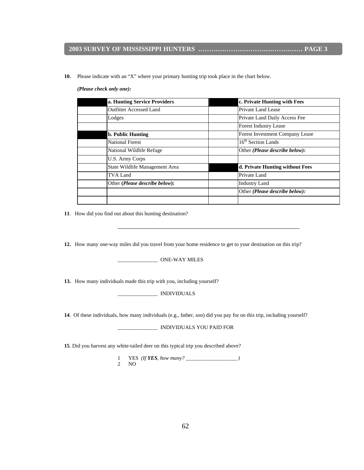### **2003 SURVEY OF MISSISSIPPI HUNTERS ………………………………………… PAGE 3**

**10.** Please indicate with an "X" where your primary hunting trip took place in the chart below.

| a. Hunting Service Providers            | c. Private Hunting with Fees            |  |  |
|-----------------------------------------|-----------------------------------------|--|--|
| Outfitter Accessed Land                 | Private Land Lease                      |  |  |
| Lodges                                  | Private Land Daily Access Fee           |  |  |
|                                         | <b>Forest Industry Lease</b>            |  |  |
| <b>b. Public Hunting</b>                | Forest Investment Company Lease         |  |  |
| National Forest                         | 16 <sup>th</sup> Section Lands          |  |  |
| National Wildlife Refuge                | Other ( <i>Please describe below</i> ): |  |  |
| <b>U.S. Army Corps</b>                  |                                         |  |  |
| State Wildlife Management Area          | d. Private Hunting without Fees         |  |  |
| TVA Land                                | Private Land                            |  |  |
| Other ( <i>Please describe below</i> ): | <b>Industry Land</b>                    |  |  |
|                                         | Other ( <i>Please describe below</i> ): |  |  |
|                                         |                                         |  |  |

#### *(Please check only one):*

 **11**. How did you find out about this hunting destination?

**12.** How many one-way miles did you travel from your home residence to get to your destination on this trip?

\_\_\_\_\_\_\_\_\_\_\_\_\_\_\_ ONE-WAY MILES

**13.** How many individuals made this trip with you, including yourself?

\_\_\_\_\_\_\_\_\_\_\_\_\_\_\_ INDIVIDUALS

**14**. Of these individuals, how many individuals (e.g., father, son) did you pay for on this trip, including yourself?

\_\_\_\_\_\_\_\_\_\_\_\_\_\_\_ INDIVIDUALS YOU PAID FOR

**15**. Did you harvest any white-tailed deer on this typical trip you described above?

 1 YES *(If YES, how many? \_\_\_\_\_\_\_\_\_\_\_\_\_\_\_\_\_\_\_ )* 2 NO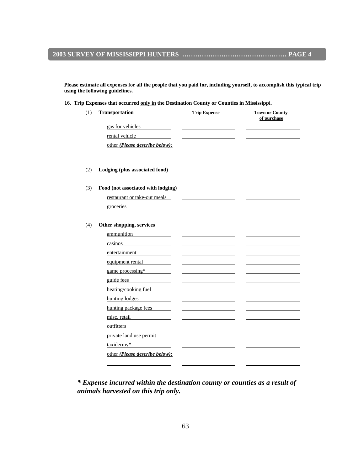**Please estimate all expenses for all the people that you paid for, including yourself, to accomplish this typical trip using the following guidelines.** 

**16**. **Trip Expenses that occurred only in the Destination County or Counties in Mississippi.** 

*\* Expense incurred within the destination county or counties as a result of animals harvested on this trip only.*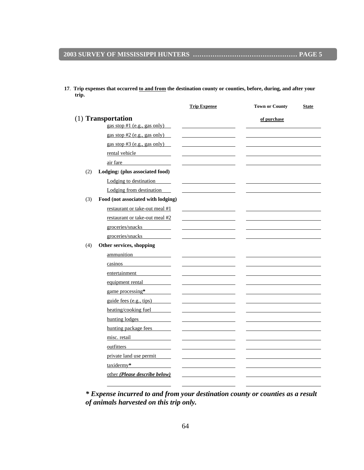**trip.** 

**17**. **Trip expenses that occurred to and from the destination county or counties, before, during, and after your** 

|     |                                                      | <b>Trip Expense</b> | <b>Town or County</b> | <b>State</b> |
|-----|------------------------------------------------------|---------------------|-----------------------|--------------|
|     | (1) Transportation<br>gas stop $#1$ (e.g., gas only) |                     | of purchase           |              |
|     | gas stop #2 (e.g., gas only)                         |                     |                       |              |
|     | gas stop $#3$ (e.g., gas only)                       |                     |                       |              |
|     | rental vehicle                                       |                     |                       |              |
|     | air fare                                             |                     |                       |              |
| (2) | Lodging: (plus associated food)                      |                     |                       |              |
|     | Lodging to destination                               |                     |                       |              |
|     | Lodging from destination                             |                     |                       |              |
| (3) | Food (not associated with lodging)                   |                     |                       |              |
|     | restaurant or take-out meal #1                       |                     |                       |              |
|     | restaurant or take-out meal #2                       |                     |                       |              |
|     | groceries/snacks                                     |                     |                       |              |
|     | groceries/snacks                                     |                     |                       |              |
| (4) | Other services, shopping                             |                     |                       |              |
|     | ammunition                                           |                     |                       |              |
|     | casinos                                              |                     |                       |              |
|     | entertainment                                        |                     |                       |              |
|     | equipment rental                                     |                     |                       |              |
|     | game processing*                                     |                     |                       |              |
|     | guide fees (e.g., tips)                              |                     |                       |              |
|     | heating/cooking fuel                                 |                     |                       |              |
|     | hunting lodges                                       |                     |                       |              |
|     | hunting package fees                                 |                     |                       |              |
|     | misc. retail<br>the company of the company of the    |                     |                       |              |
|     | outfitters                                           |                     |                       |              |
|     | private land use permit                              |                     |                       |              |
|     | taxidermy*                                           |                     |                       |              |
|     | other (Please describe below)                        |                     |                       |              |

*\* Expense incurred to and from your destination county or counties as a result of animals harvested on this trip only.*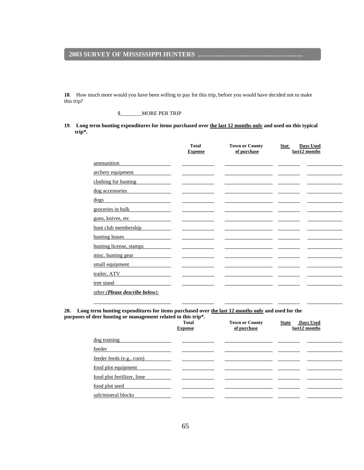#### **2003 SURVEY OF MISSISSIPPI HUNTERS …………………………………………**

**18**. How much more would you have been willing to pay for this trip, before you would have decided not to make this trip?

#### \$\_\_\_\_\_\_\_\_MORE PER TRIP

**19**. **Long term hunting expenditures for items purchased over the last 12 months only and used on this typical trip\*.** 

|                                | <b>Total</b><br><b>Expense</b> | <b>Town or County</b><br>of purchase | <b>Days Used</b><br><b>Stat</b><br>last12 months |
|--------------------------------|--------------------------------|--------------------------------------|--------------------------------------------------|
| ammunition                     |                                |                                      |                                                  |
| archery equipment              |                                |                                      |                                                  |
| clothing for hunting           |                                |                                      |                                                  |
| dog accessories                |                                |                                      |                                                  |
| $\frac{dogs}{d}$               |                                |                                      |                                                  |
| groceries in bulk              |                                |                                      |                                                  |
| guns, knives, etc              |                                |                                      |                                                  |
| hunt club membership           |                                |                                      |                                                  |
| hunting leases                 |                                |                                      |                                                  |
| hunting license, stamps        |                                |                                      |                                                  |
| misc. hunting gear             |                                |                                      |                                                  |
| small equipment                |                                |                                      |                                                  |
| trailer, ATV                   |                                |                                      |                                                  |
| tree stand                     |                                |                                      |                                                  |
| other (Please describe below): |                                |                                      |                                                  |

**20. Long term hunting expenditures for items purchased over the last 12 months only and used for the purposes of deer hunting or management related to this trip\*.** 

|                            | <b>Total</b><br><b>Expense</b> | <b>Town or County</b><br>of purchase | Days Used<br><b>State</b><br>last12 months |
|----------------------------|--------------------------------|--------------------------------------|--------------------------------------------|
| dog training               |                                |                                      |                                            |
| feeder                     |                                |                                      |                                            |
| feeder feeds (e.g., corn)  |                                |                                      |                                            |
| food plot equipment        |                                |                                      |                                            |
| food plot fertilizer, lime |                                |                                      |                                            |
| food plot seed             |                                |                                      |                                            |
| salt/mineral blocks        |                                |                                      |                                            |
|                            |                                |                                      |                                            |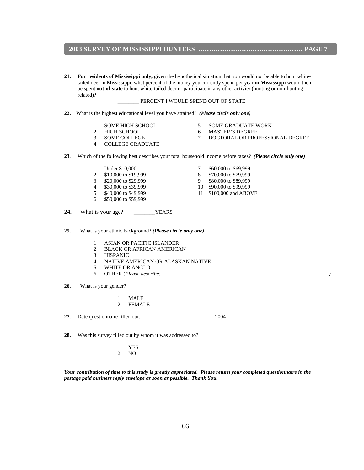#### **2003 SURVEY OF MISSISSIPPI HUNTERS ………………………………………… PAGE 7**

**21. For residents of Mississippi only,** given the hypothetical situation that you would not be able to hunt white tailed deer in Mississippi, what percent of the money you currently spend per year **in Mississippi** would then be spent **out-of-state** to hunt white-tailed deer or participate in any other activity (hunting or non-hunting related)?

#### \_\_\_\_\_\_\_\_ PERCENT I WOULD SPEND OUT OF STATE

- **22.** What is the highest educational level you have attained?*(Please circle only one)*
	-
	-
	-
- 
- 
- 
- 
- 
- 4 COLLEGE GRADUATE
- **23**. Which of the following best describes your total household income before taxes? *(Please circle only one)*
	- 1 Under \$10,000 7 \$60,000 to \$69,999
	- 2 \$10,000 to \$19,999 8 \$70,000 to \$79,999
	- 3 \$20,000 to \$29,999 9 \$80,000 to \$89,999
	- 4 \$30,000 to \$39,999 10 \$90,000 to \$99,999
	-
	- 6 \$50,000 to \$59,999
- 
- 
- 
- 5 \$40,000 to \$49,999 11 \$100,000 and ABOVE
- 24. What is your age? \_\_\_\_\_\_\_\_\_YEARS
- **25.** What is your ethnic background? *(Please circle only one)*
	- 1 ASIAN OR PACIFIC ISLANDER
	- 2 BLACK OR AFRICAN AMERICAN
	- 3 HISPANIC
	- 4 NATIVE AMERICAN OR ALASKAN NATIVE
	- 5 WHITE OR ANGLO
	- 6 OTHER (*Please describe: )*

**26.** What is your gender?

- 1 MALE
- 2 FEMALE

**27**. Date questionnaire filled out: , 2004

**28.** Was this survey filled out by whom it was addressed to?

 1 YES 2 NO

*Your contribution of time to this study is greatly appreciated. Please return your completed questionnaire in the postage paid business reply envelope as soon as possible. Thank You.* 

- 1 SOME HIGH SCHOOL 5 SOME GRADUATE WORK
- 2 HIGH SCHOOL 6 MASTER'S DEGREE
- 3 SOME COLLEGE 7 DOCTORAL OR PROFESSIONAL DEGREE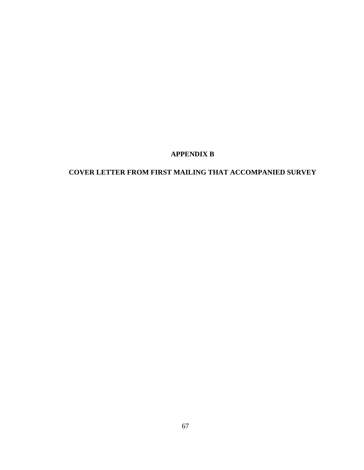### **APPENDIX B**

## **COVER LETTER FROM FIRST MAILING THAT ACCOMPANIED SURVEY**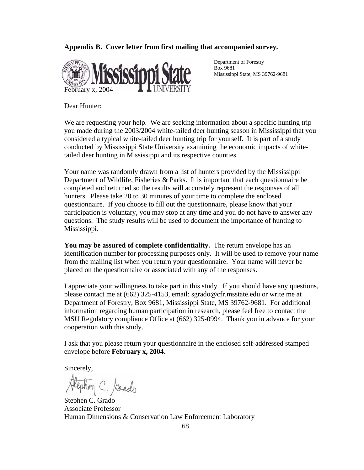#### **Appendix B. Cover letter from first mailing that accompanied survey.**



 Department of Forestry Box 9681 Mississippi State, MS 39762-9681

Dear Hunter:

We are requesting your help. We are seeking information about a specific hunting trip you made during the 2003/2004 white-tailed deer hunting season in Mississippi that you considered a typical white-tailed deer hunting trip for yourself. It is part of a study conducted by Mississippi State University examining the economic impacts of whitetailed deer hunting in Mississippi and its respective counties.

Your name was randomly drawn from a list of hunters provided by the Mississippi Department of Wildlife, Fisheries & Parks. It is important that each questionnaire be completed and returned so the results will accurately represent the responses of all hunters. Please take 20 to 30 minutes of your time to complete the enclosed questionnaire. If you choose to fill out the questionnaire, please know that your participation is voluntary, you may stop at any time and you do not have to answer any questions. The study results will be used to document the importance of hunting to Mississippi.

**You may be assured of complete confidentiality.** The return envelope has an identification number for processing purposes only. It will be used to remove your name from the mailing list when you return your questionnaire. Your name will never be placed on the questionnaire or associated with any of the responses.

I appreciate your willingness to take part in this study. If you should have any questions, please contact me at (662) 325-4153, email: sgrado@cfr.msstate.edu or write me at Department of Forestry, Box 9681, Mississippi State, MS 39762-9681. For additional information regarding human participation in research, please feel free to contact the MSU Regulatory compliance Office at (662) 325-0994. Thank you in advance for your cooperation with this study.

I ask that you please return your questionnaire in the enclosed self-addressed stamped envelope before **February x, 2004**.

Sincerely,

ephon C. Sado

Stephen C. Grado Associate Professor Human Dimensions & Conservation Law Enforcement Laboratory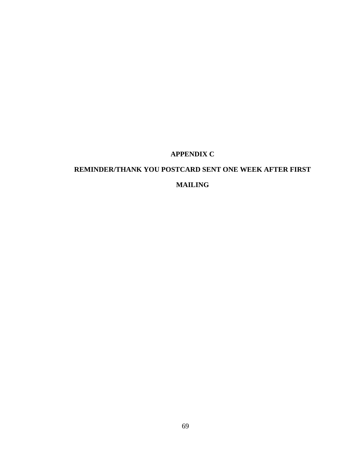## **APPENDIX C**

# **REMINDER/THANK YOU POSTCARD SENT ONE WEEK AFTER FIRST MAILING**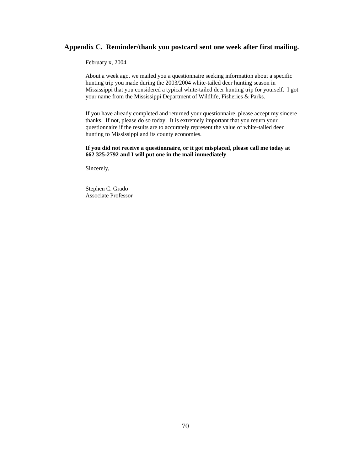#### **Appendix C. Reminder/thank you postcard sent one week after first mailing.**

February x, 2004

About a week ago, we mailed you a questionnaire seeking information about a specific hunting trip you made during the 2003/2004 white-tailed deer hunting season in Mississippi that you considered a typical white-tailed deer hunting trip for yourself. I got your name from the Mississippi Department of Wildlife, Fisheries & Parks.

If you have already completed and returned your questionnaire, please accept my sincere thanks. If not, please do so today. It is extremely important that you return your questionnaire if the results are to accurately represent the value of white-tailed deer hunting to Mississippi and its county economies.

**If you did not receive a questionnaire, or it got misplaced, please call me today at 662 325-2792 and I will put one in the mail immediately**.

Sincerely,

Stephen C. Grado Associate Professor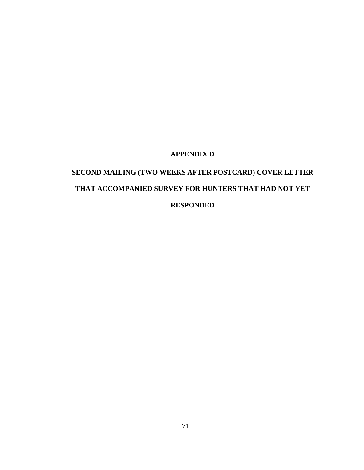### **APPENDIX D**

# **SECOND MAILING (TWO WEEKS AFTER POSTCARD) COVER LETTER THAT ACCOMPANIED SURVEY FOR HUNTERS THAT HAD NOT YET RESPONDED**